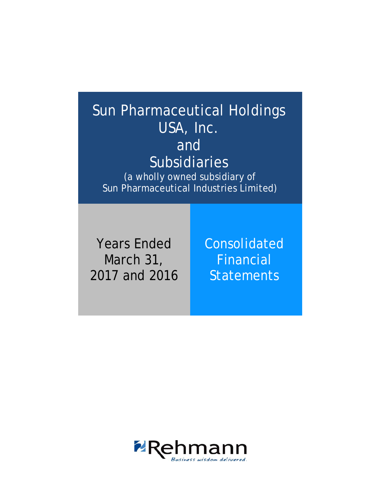# Sun Pharmaceutical Holdings USA, Inc. and Subsidiaries

(a wholly owned subsidiary of Sun Pharmaceutical Industries Limited)

Years Ended March 31, 2017 and 2016 Consolidated Financial **Statements** 

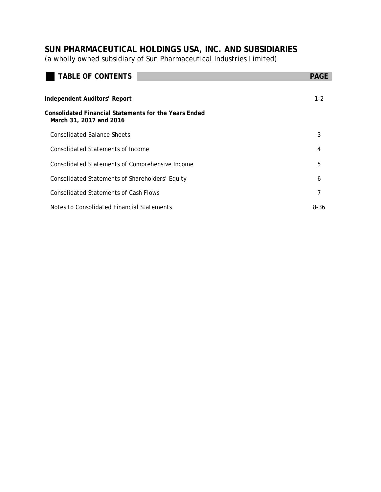(a wholly owned subsidiary of Sun Pharmaceutical Industries Limited)

| <b>TABLE OF CONTENTS</b>                                                         | <b>PAGE</b> |
|----------------------------------------------------------------------------------|-------------|
|                                                                                  |             |
| Independent Auditors' Report                                                     | $1 - 2$     |
| Consolidated Financial Statements for the Years Ended<br>March 31, 2017 and 2016 |             |
| Consolidated Balance Sheets                                                      | 3           |
| Consolidated Statements of Income                                                | 4           |
| Consolidated Statements of Comprehensive Income                                  | 5           |
| Consolidated Statements of Shareholders' Equity                                  | 6           |
| <b>Consolidated Statements of Cash Flows</b>                                     | 7           |
| Notes to Consolidated Financial Statements                                       | 8-36        |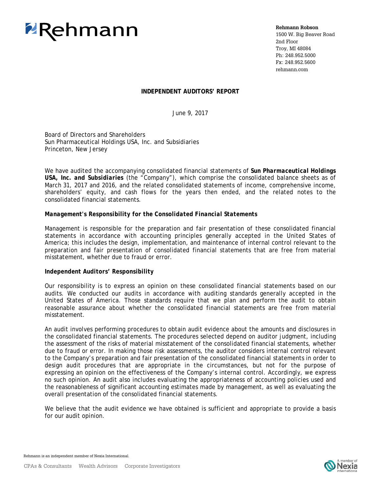

**Rehmann Robson**

1500 W. Big Beaver Road 2nd Floor Troy, MI 48084 Ph: 248.952.5000 Fx: 248.952.5600 rehmann.com

#### **INDEPENDENT AUDITORS' REPORT**

June 9, 2017

Board of Directors and Shareholders Sun Pharmaceutical Holdings USA, Inc. and Subsidiaries Princeton, New Jersey

We have audited the accompanying consolidated financial statements of *Sun Pharmaceutical Holdings USA, Inc. and Subsidiaries* (the "Company"), which comprise the consolidated balance sheets as of March 31, 2017 and 2016, and the related consolidated statements of income, comprehensive income, shareholders' equity, and cash flows for the years then ended, and the related notes to the consolidated financial statements.

#### *Management's Responsibility for the Consolidated Financial Statements*

Management is responsible for the preparation and fair presentation of these consolidated financial statements in accordance with accounting principles generally accepted in the United States of America; this includes the design, implementation, and maintenance of internal control relevant to the preparation and fair presentation of consolidated financial statements that are free from material misstatement, whether due to fraud or error.

#### *Independent Auditors' Responsibility*

Our responsibility is to express an opinion on these consolidated financial statements based on our audits. We conducted our audits in accordance with auditing standards generally accepted in the United States of America. Those standards require that we plan and perform the audit to obtain reasonable assurance about whether the consolidated financial statements are free from material misstatement.

An audit involves performing procedures to obtain audit evidence about the amounts and disclosures in the consolidated financial statements. The procedures selected depend on auditor judgment, including the assessment of the risks of material misstatement of the consolidated financial statements, whether due to fraud or error. In making those risk assessments, the auditor considers internal control relevant to the Company's preparation and fair presentation of the consolidated financial statements in order to design audit procedures that are appropriate in the circumstances, but not for the purpose of expressing an opinion on the effectiveness of the Company's internal control. Accordingly, we express no such opinion. An audit also includes evaluating the appropriateness of accounting policies used and the reasonableness of significant accounting estimates made by management, as well as evaluating the overall presentation of the consolidated financial statements.

We believe that the audit evidence we have obtained is sufficient and appropriate to provide a basis for our audit opinion.

Rehmann is an independent member of Nexia International.

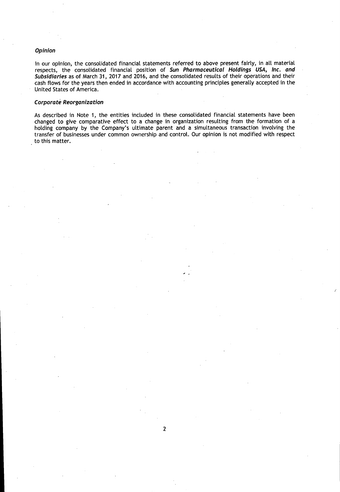#### Opinion

In our opinion, the consolidated financial statements referred to above present fairly, in all material respects, the consolidated financial position of Sun Pharmaceutical Holdings USA, Inc. and Subsidiaries as of March 31, 2017 and 2016, and the consolidated results of their operations and their cash flows for the years then ended in accordance with accounting principles generally accepted in the United States of America.

#### **Corporate Reorganization**

As described in Note 1, the entities included in these consolidated financial statements have been changed to give comparative effect to a change in organization resulting from the formation of a holding company by the Company's ultimate parent and a simultaneous transaction involving the transfer of businesses under common ownership and control. Our opinion is not modified with respect to this matter.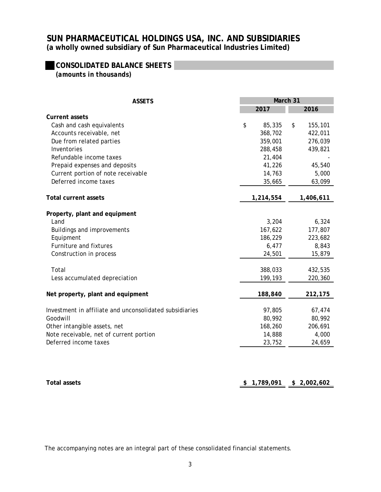### **CONSOLIDATED BALANCE SHEETS** *(amounts in thousands)*

| <b>ASSETS</b>                                           |    | March 31  |    |           |  |  |
|---------------------------------------------------------|----|-----------|----|-----------|--|--|
|                                                         |    | 2017      |    | 2016      |  |  |
| <b>Current assets</b>                                   |    |           |    |           |  |  |
| Cash and cash equivalents                               | \$ | 85,335    | \$ | 155,101   |  |  |
| Accounts receivable, net                                |    | 368,702   |    | 422,011   |  |  |
| Due from related parties                                |    | 359,001   |    | 276,039   |  |  |
| Inventories                                             |    | 288,458   |    | 439,821   |  |  |
| Refundable income taxes                                 |    | 21,404    |    |           |  |  |
| Prepaid expenses and deposits                           |    | 41,226    |    | 45,540    |  |  |
| Current portion of note receivable                      |    | 14,763    |    | 5,000     |  |  |
| Deferred income taxes                                   |    | 35,665    |    | 63,099    |  |  |
| <b>Total current assets</b>                             |    | 1,214,554 |    | 1,406,611 |  |  |
|                                                         |    |           |    |           |  |  |
| Property, plant and equipment                           |    |           |    |           |  |  |
| Land                                                    |    | 3,204     |    | 6,324     |  |  |
| Buildings and improvements                              |    | 167,622   |    | 177,807   |  |  |
| Equipment                                               |    | 186,229   |    | 223,682   |  |  |
| Furniture and fixtures                                  |    | 6,477     |    | 8,843     |  |  |
| Construction in process                                 |    | 24,501    |    | 15,879    |  |  |
| Total                                                   |    | 388,033   |    | 432,535   |  |  |
| Less accumulated depreciation                           |    | 199,193   |    | 220,360   |  |  |
|                                                         |    |           |    |           |  |  |
| Net property, plant and equipment                       |    | 188,840   |    | 212,175   |  |  |
| Investment in affiliate and unconsolidated subsidiaries |    | 97,805    |    | 67,474    |  |  |
| Goodwill                                                |    | 80,992    |    | 80,992    |  |  |
| Other intangible assets, net                            |    | 168,260   |    | 206,691   |  |  |
| Note receivable, net of current portion                 |    | 14,888    |    | 4,000     |  |  |
| Deferred income taxes                                   |    | 23,752    |    | 24,659    |  |  |
|                                                         |    |           |    |           |  |  |

**Total assets** 1,789,091 **\$ 2,002,602**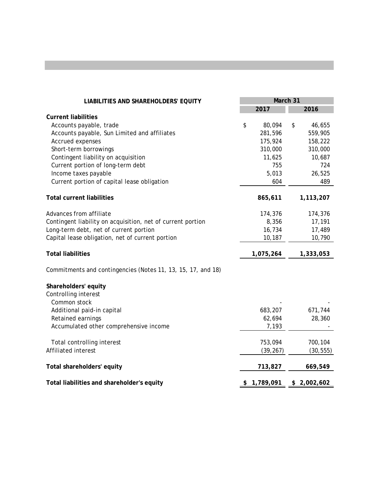| <b>LIABILITIES AND SHAREHOLDERS' EQUITY</b>                  | March 31 |           |    |             |
|--------------------------------------------------------------|----------|-----------|----|-------------|
|                                                              |          | 2017      |    | 2016        |
| <b>Current liabilities</b>                                   |          |           |    |             |
| Accounts payable, trade                                      | \$       | 80,094    | \$ | 46,655      |
| Accounts payable, Sun Limited and affiliates                 |          | 281,596   |    | 559,905     |
| Accrued expenses                                             |          | 175,924   |    | 158,222     |
| Short-term borrowings                                        |          | 310,000   |    | 310,000     |
| Contingent liability on acquisition                          |          | 11,625    |    | 10,687      |
| Current portion of long-term debt                            |          | 755       |    | 724         |
| Income taxes payable                                         |          | 5,013     |    | 26,525      |
| Current portion of capital lease obligation                  |          | 604       |    | 489         |
| <b>Total current liabilities</b>                             |          | 865,611   |    | 1,113,207   |
| Advances from affiliate                                      |          | 174,376   |    | 174,376     |
| Contingent liability on acquisition, net of current portion  |          | 8,356     |    | 17,191      |
| Long-term debt, net of current portion                       |          | 16,734    |    | 17,489      |
| Capital lease obligation, net of current portion             |          | 10,187    |    | 10,790      |
| <b>Total liabilities</b>                                     |          | 1,075,264 |    | 1,333,053   |
| Commitments and contingencies (Notes 11, 13, 15, 17, and 18) |          |           |    |             |
| Shareholders' equity                                         |          |           |    |             |
| Controlling interest                                         |          |           |    |             |
| Common stock                                                 |          |           |    |             |
| Additional paid-in capital                                   |          | 683,207   |    | 671,744     |
| Retained earnings                                            |          | 62,694    |    | 28,360      |
| Accumulated other comprehensive income                       |          | 7,193     |    |             |
| Total controlling interest                                   |          | 753,094   |    | 700,104     |
| Affiliated interest                                          |          | (39, 267) |    | (30, 555)   |
| Total shareholders' equity                                   |          | 713,827   |    | 669,549     |
| Total liabilities and shareholder's equity                   | \$       | 1,789,091 |    | \$2,002,602 |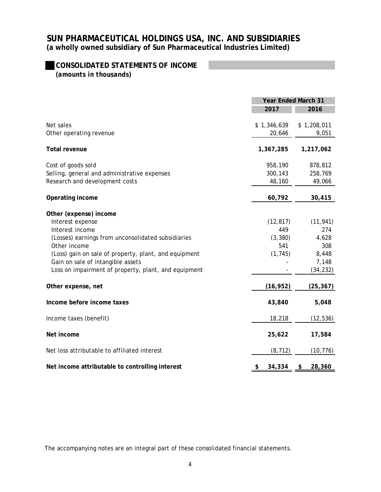## **CONSOLIDATED STATEMENTS OF INCOME**

*(amounts in thousands)*

|                                                       | <b>Year Ended March 31</b> |              |  |
|-------------------------------------------------------|----------------------------|--------------|--|
|                                                       | 2017                       | 2016         |  |
| Net sales                                             | \$1,346,639                | \$1,208,011  |  |
| Other operating revenue                               | 20,646                     | 9,051        |  |
| <b>Total revenue</b>                                  | 1,367,285                  | 1,217,062    |  |
| Cost of goods sold                                    | 958,190                    | 878,812      |  |
| Selling, general and administrative expenses          | 300,143                    | 258,769      |  |
| Research and development costs                        | 48,160                     | 49,066       |  |
| Operating income                                      | 60,792                     | 30,415       |  |
| Other (expense) income                                |                            |              |  |
| Interest expense                                      | (12, 817)                  | (11, 941)    |  |
| Interest income                                       | 449                        | 274          |  |
| (Losses) earnings from unconsolidated subsidiaries    | (3, 380)                   | 4,628        |  |
| Other income                                          | 541                        | 308          |  |
| (Loss) gain on sale of property, plant, and equipment | (1, 745)                   | 8,448        |  |
| Gain on sale of intangible assets                     |                            | 7,148        |  |
| Loss on impairment of property, plant, and equipment  |                            | (34, 232)    |  |
| Other expense, net                                    | (16, 952)                  | (25, 367)    |  |
| Income before income taxes                            | 43,840                     | 5,048        |  |
| Income taxes (benefit)                                | 18,218                     | (12, 536)    |  |
| Net income                                            | 25,622                     | 17,584       |  |
| Net loss attributable to affiliated interest          | (8, 712)                   | (10, 776)    |  |
| Net income attributable to controlling interest       | \$<br>34,334               | 28,360<br>\$ |  |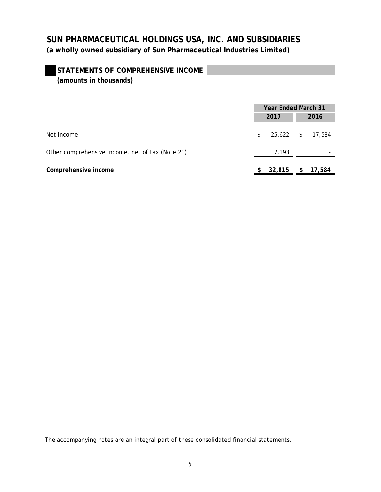### **STATEMENTS OF COMPREHENSIVE INCOME** *(amounts in thousands)*

|                                                  | <b>Year Ended March 31</b> |                  |      |        |
|--------------------------------------------------|----------------------------|------------------|------|--------|
|                                                  | 2017                       |                  | 2016 |        |
| Net income                                       | \$                         | 25,622 \$ 17,584 |      |        |
| Other comprehensive income, net of tax (Note 21) |                            | 7,193            |      |        |
| Comprehensive income                             |                            | 32,815           | \$   | 17,584 |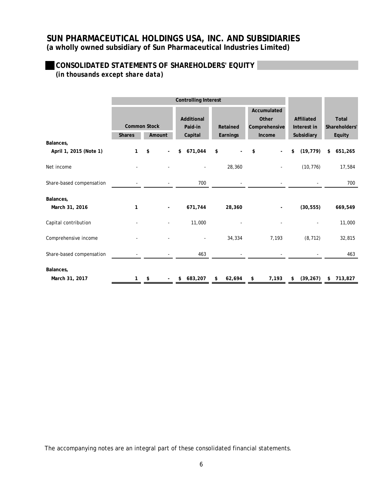### **CONSOLIDATED STATEMENTS OF SHAREHOLDERS' EQUITY** *(in thousands except share data)*

|                             |                                      |                          | <b>Controlling Interest</b>      |                         |                                                 |                                         |                                  |
|-----------------------------|--------------------------------------|--------------------------|----------------------------------|-------------------------|-------------------------------------------------|-----------------------------------------|----------------------------------|
|                             | <b>Common Stock</b><br><b>Shares</b> | Amount                   | Additional<br>Paid-in<br>Capital | Retained<br>Earnings    | Accumulated<br>Other<br>Comprehensive<br>Income | Affiliated<br>Interest in<br>Subsidiary | Total<br>Shareholders'<br>Equity |
| Balances,                   |                                      |                          |                                  |                         |                                                 |                                         |                                  |
| April 1, 2015 (Note 1)      | 1                                    | \$                       | 671,044<br>\$                    | \$                      | \$<br>$\overline{\phantom{a}}$                  | (19, 779)<br>\$                         | 651,265<br>\$                    |
| Net income                  |                                      |                          |                                  | 28,360                  | $\overline{\phantom{a}}$                        | (10, 776)                               | 17,584                           |
| Share-based compensation    |                                      | $\sim$                   | 700                              |                         |                                                 |                                         | 700                              |
| Balances,<br>March 31, 2016 | 1                                    | $\overline{\phantom{a}}$ | 671,744                          | 28,360                  | $\overline{\phantom{a}}$                        | (30, 555)                               | 669,549                          |
| Capital contribution        |                                      | $\overline{\phantom{a}}$ | 11,000                           |                         |                                                 |                                         | 11,000                           |
| Comprehensive income        |                                      |                          |                                  | 34,334                  | 7,193                                           | (8, 712)                                | 32,815                           |
| Share-based compensation    |                                      |                          | 463                              |                         |                                                 |                                         | 463                              |
| Balances,                   |                                      |                          |                                  |                         |                                                 |                                         |                                  |
| March 31, 2017              | $\mathbf{1}$                         | \$                       | \$683,207                        | 62,694<br>$\mathsf{\$}$ | 7,193<br>\$                                     | (39, 267)<br>\$                         | \$713,827                        |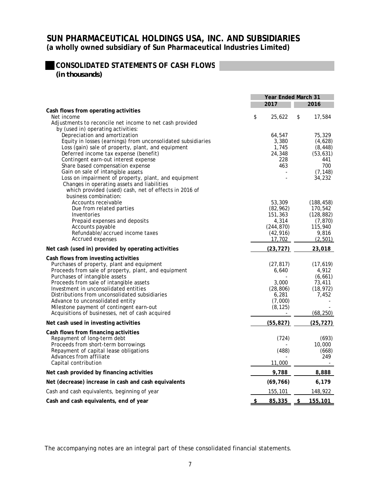### **CONSOLIDATED STATEMENTS OF CASH FLOWS** *(in thousands)*

**2017 2016 Cash flows from operating activities** Net income the set of the set of the set of the set of the set of the set of the set of the set of the set of the set of the set of the set of the set of the set of the set of the set of the set of the set of the set of th Adjustments to reconcile net income to net cash provided by (used in) operating activities: Depreciation and amortization 64,547 , 75,329 Equity in losses (earnings) from unconsolidated subsidiaries 3,380 (4,628) Loss (gain) sale of property, plant, and equipment 1,745 (8,448) Deferred income tax expense (benefit) 24,348 (53,631)<br>Contingent earn-out interest expense (278 (278 (441) Contingent earn-out interest expense 228 441<br>
Share based compensation expense 200 Share based compensation expense 463 700 Gain on sale of intangible assets  $(7,148)$ <br>
Loss on impairment of property, plant, and equipment  $(7,148)$ Loss on impairment of property, plant, and equipment Changes in operating assets and liabilities which provided (used) cash, net of effects in 2016 of business combination: Accounts receivable 6188,458)<br>Due from related parties that the second state of the second state of the second state (82,962) (188,458) Due from related parties 170 (82,962) ,542 Inventories 151 ,363 (128,882) Prepaid expenses and deposits and the set of the set of the set of the set of the set of the deposits of the set of the set of the deposits of the deposits of the deposits of the set of the set of the set of the set of the Accounts payable 115 (244,870) ,940 Refundable/accrued income taxes Accrued expenses (2,501)  $17,702$  (2,501) **Net cash (used in) provided by operating activities (23,727) (23,727) 323,018 Cash flows from investing activities** Purchases of property, plant and equipment (27,817) (17,619) Proceeds from sale of property, plant, and equipment 6,640  $\qquad 4.912$ Purchases of intangible assets and the extended of intangible assets and the extended of the extended of the extended of the extended of the extended of the extended of the extended of the extended of the extended of the e Proceeds from sale of intangible assets 3,000 73,411<br>
Investment in unconsolidated entities (28,806) (18,972) Investment in unconsolidated entities (28,806) (28,806) Distributions from unconsolidated subsidiaries 7 6,281 ,452 Advance to unconsolidated entity<br>Milestone payment of contingent earn-out the state of the state of (8,125) Milestone payment of contingent earn-out Acquisitions of businesses, net of cash acquired  $(68,250)$ **Net cash used in investing activities (55,827) (25,727) Cash flows from financing activities** Repayment of long-term debt (693) (693) Proceeds from short-term borrowings and the state of the state of the 10,000 state of the 10,000 state of the 10,000 state of the 10,000 state of the 10,000 state of the 10,000 state of the 10,000 state of the 10,000 state Repayment of capital lease obligations (668) (668) Advances from affiliate 1992 12:00 12:00 12:00 12:00 12:00 12:00 12:00 12:00 12:00 12:00 12:00 12:00 12:00 12:0<br>Capital contribution 11:000 12:00 12:00 12:00 12:00 12:00 12:00 12:00 12:00 12:00 12:00 12:00 12:00 12:00 12:0 Capital contribution **Net cash provided by financing activities the set of the set of the set of the set of the set of the set of the set of the set of the set of the set of the set of the set of the set of the set of the set of the set of the Net (decrease) increase in cash and cash equivalents (69,766)** (69,766) 6,179 Cash and cash equivalents, beginning of year 155,101 and 2012 148,922 **Cash and cash equivalents, end of year 85,335 \$ 155,101 Year Ended March 31**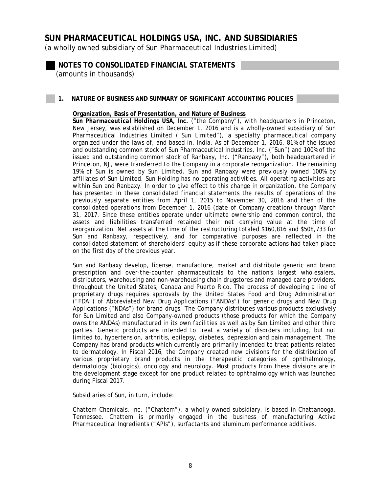(a wholly owned subsidiary of Sun Pharmaceutical Industries Limited)

**NOTES TO CONSOLIDATED FINANCIAL STATEMENTS**  *(amounts in thousands)* 

**1. NATURE OF BUSINESS AND SUMMARY OF SIGNIFICANT ACCOUNTING POLICIES** 

### **Organization, Basis of Presentation, and Nature of Business**

*Sun Pharmaceutical Holdings USA, Inc.* ("the Company"), with headquarters in Princeton, New Jersey, was established on December 1, 2016 and is a wholly-owned subsidiary of Sun Pharmaceutical Industries Limited ("Sun Limited"), a specialty pharmaceutical company organized under the laws of, and based in, India. As of December 1, 2016, 81% of the issued and outstanding common stock of Sun Pharmaceutical Industries, Inc. ("Sun") and 100% of the issued and outstanding common stock of Ranbaxy, Inc. ("Ranbaxy"), both headquartered in Princeton, NJ, were transferred to the Company in a corporate reorganization. The remaining 19% of Sun is owned by Sun Limited. Sun and Ranbaxy were previously owned 100% by affiliates of Sun Limited. Sun Holding has no operating activities. All operating activities are within Sun and Ranbaxy. In order to give effect to this change in organization, the Company has presented in these consolidated financial statements the results of operations of the previously separate entities from April 1, 2015 to November 30, 2016 and then of the consolidated operations from December 1, 2016 (date of Company creation) through March 31, 2017. Since these entities operate under ultimate ownership and common control, the assets and liabilities transferred retained their net carrying value at the time of reorganization. Net assets at the time of the restructuring totaled \$160,816 and \$508,733 for Sun and Ranbaxy, respectively, and for comparative purposes are reflected in the consolidated statement of shareholders' equity as if these corporate actions had taken place on the first day of the previous year.

Sun and Ranbaxy develop, license, manufacture, market and distribute generic and brand prescription and over-the-counter pharmaceuticals to the nation's largest wholesalers, distributors, warehousing and non-warehousing chain drugstores and managed care providers, throughout the United States, Canada and Puerto Rico. The process of developing a line of proprietary drugs requires approvals by the United States Food and Drug Administration ("FDA") of Abbreviated New Drug Applications ("ANDAs") for generic drugs and New Drug Applications ("NDAs") for brand drugs. The Company distributes various products exclusively for Sun Limited and also Company-owned products (those products for which the Company owns the ANDAs) manufactured in its own facilities as well as by Sun Limited and other third parties. Generic products are intended to treat a variety of disorders including, but not limited to, hypertension, arthritis, epilepsy, diabetes, depression and pain management. The Company has brand products which currently are primarily intended to treat patients related to dermatology. In Fiscal 2016, the Company created new divisions for the distribution of various proprietary brand products in the therapeutic categories of ophthalmology, dermatology (biologics), oncology and neurology. Most products from these divisions are in the development stage except for one product related to ophthalmology which was launched during Fiscal 2017.

Subsidiaries of Sun, in turn, include:

Chattem Chemicals, Inc. ("Chattem"), a wholly owned subsidiary, is based in Chattanooga, Tennessee. Chattem is primarily engaged in the business of manufacturing Active Pharmaceutical Ingredients ("APIs"), surfactants and aluminum performance additives.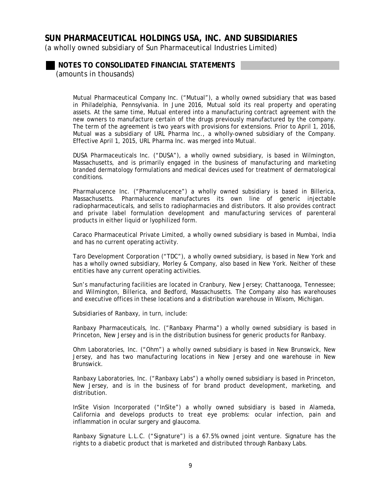(a wholly owned subsidiary of Sun Pharmaceutical Industries Limited)

**NOTES TO CONSOLIDATED FINANCIAL STATEMENTS** 

*(amounts in thousands)* 

Mutual Pharmaceutical Company Inc. ("Mutual"), a wholly owned subsidiary that was based in Philadelphia, Pennsylvania. In June 2016, Mutual sold its real property and operating assets. At the same time, Mutual entered into a manufacturing contract agreement with the new owners to manufacture certain of the drugs previously manufactured by the company. The term of the agreement is two years with provisions for extensions. Prior to April 1, 2016, Mutual was a subsidiary of URL Pharma Inc., a wholly-owned subsidiary of the Company. Effective April 1, 2015, URL Pharma Inc. was merged into Mutual.

DUSA Pharmaceuticals Inc. ("DUSA"), a wholly owned subsidiary, is based in Wilmington, Massachusetts, and is primarily engaged in the business of manufacturing and marketing branded dermatology formulations and medical devices used for treatment of dermatological conditions.

Pharmalucence Inc. ("Pharmalucence") a wholly owned subsidiary is based in Billerica, Massachusetts. Pharmalucence manufactures its own line of generic injectable radiopharmaceuticals, and sells to radiopharmacies and distributors. It also provides contract and private label formulation development and manufacturing services of parenteral products in either liquid or lyophilized form.

Caraco Pharmaceutical Private Limited, a wholly owned subsidiary is based in Mumbai, India and has no current operating activity.

Taro Development Corporation ("TDC"), a wholly owned subsidiary, is based in New York and has a wholly owned subsidiary, Morley & Company, also based in New York. Neither of these entities have any current operating activities.

Sun's manufacturing facilities are located in Cranbury, New Jersey; Chattanooga, Tennessee; and Wilmington, Billerica, and Bedford, Massachusetts. The Company also has warehouses and executive offices in these locations and a distribution warehouse in Wixom, Michigan.

Subsidiaries of Ranbaxy, in turn, include:

Ranbaxy Pharmaceuticals, Inc. ("Ranbaxy Pharma") a wholly owned subsidiary is based in Princeton, New Jersey and is in the distribution business for generic products for Ranbaxy.

Ohm Laboratories, Inc. ("Ohm") a wholly owned subsidiary is based in New Brunswick, New Jersey, and has two manufacturing locations in New Jersey and one warehouse in New Brunswick.

Ranbaxy Laboratories, Inc. ("Ranbaxy Labs") a wholly owned subsidiary is based in Princeton, New Jersey, and is in the business of for brand product development, marketing, and distribution.

InSite Vision Incorporated ("InSite") a wholly owned subsidiary is based in Alameda, California and develops products to treat eye problems: ocular infection, pain and inflammation in ocular surgery and glaucoma.

Ranbaxy Signature L.L.C. ("Signature") is a 67.5% owned joint venture. Signature has the rights to a diabetic product that is marketed and distributed through Ranbaxy Labs.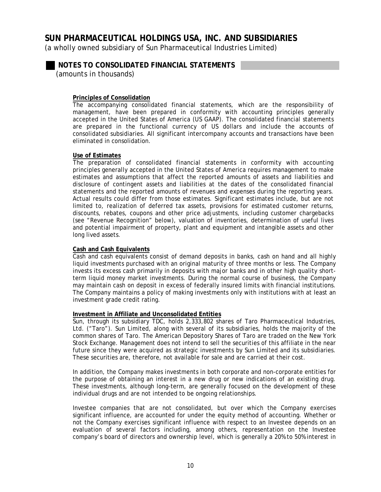(a wholly owned subsidiary of Sun Pharmaceutical Industries Limited)

**NOTES TO CONSOLIDATED FINANCIAL STATEMENTS** 

*(amounts in thousands)* 

### **Principles of Consolidation**

The accompanying consolidated financial statements, which are the responsibility of management, have been prepared in conformity with accounting principles generally accepted in the United States of America (US GAAP). The consolidated financial statements are prepared in the functional currency of US dollars and include the accounts of consolidated subsidiaries. All significant intercompany accounts and transactions have been eliminated in consolidation.

### **Use of Estimates**

The preparation of consolidated financial statements in conformity with accounting principles generally accepted in the United States of America requires management to make estimates and assumptions that affect the reported amounts of assets and liabilities and disclosure of contingent assets and liabilities at the dates of the consolidated financial statements and the reported amounts of revenues and expenses during the reporting years. Actual results could differ from those estimates. Significant estimates include, but are not limited to, realization of deferred tax assets, provisions for estimated customer returns, discounts, rebates, coupons and other price adjustments, including customer chargebacks (see "Revenue Recognition" below), valuation of inventories, determination of useful lives and potential impairment of property, plant and equipment and intangible assets and other long lived assets.

### **Cash and Cash Equivalents**

Cash and cash equivalents consist of demand deposits in banks, cash on hand and all highly liquid investments purchased with an original maturity of three months or less. The Company invests its excess cash primarily in deposits with major banks and in other high quality shortterm liquid money market investments. During the normal course of business, the Company may maintain cash on deposit in excess of federally insured limits with financial institutions. The Company maintains a policy of making investments only with institutions with at least an investment grade credit rating.

#### **Investment in Affiliate and Unconsolidated Entities**

Sun, through its subsidiary TDC, holds 2,333,802 shares of Taro Pharmaceutical Industries, Ltd. ("Taro"). Sun Limited, along with several of its subsidiaries, holds the majority of the common shares of Taro. The American Depository Shares of Taro are traded on the New York Stock Exchange. Management does not intend to sell the securities of this affiliate in the near future since they were acquired as strategic investments by Sun Limited and its subsidiaries. These securities are, therefore, not available for sale and are carried at their cost.

In addition, the Company makes investments in both corporate and non-corporate entities for the purpose of obtaining an interest in a new drug or new indications of an existing drug. These investments, although long-term, are generally focused on the development of these individual drugs and are not intended to be ongoing relationships.

Investee companies that are not consolidated, but over which the Company exercises significant influence, are accounted for under the equity method of accounting. Whether or not the Company exercises significant influence with respect to an Investee depends on an evaluation of several factors including, among others, representation on the Investee company's board of directors and ownership level, which is generally a 20% to 50% interest in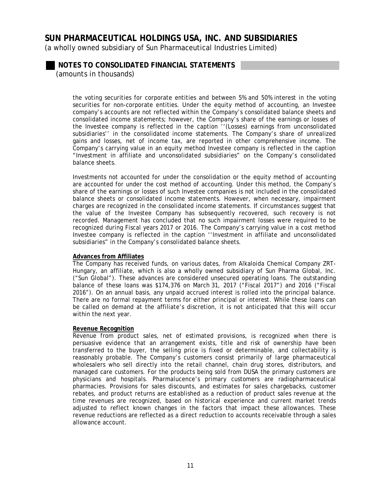(a wholly owned subsidiary of Sun Pharmaceutical Industries Limited)

## **NOTES TO CONSOLIDATED FINANCIAL STATEMENTS**

*(amounts in thousands)* 

the voting securities for corporate entities and between 5% and 50% interest in the voting securities for non-corporate entities. Under the equity method of accounting, an Investee company's accounts are not reflected within the Company's consolidated balance sheets and consolidated income statements; however, the Company's share of the earnings or losses of the Investee company is reflected in the caption ''(Losses) earnings from unconsolidated subsidiaries'' in the consolidated income statements. The Company's share of unrealized gains and losses, net of income tax, are reported in other comprehensive income. The Company's carrying value in an equity method Investee company is reflected in the caption "Investment in affiliate and unconsolidated subsidiaries" on the Company's consolidated balance sheets.

Investments not accounted for under the consolidation or the equity method of accounting are accounted for under the cost method of accounting. Under this method, the Company's share of the earnings or losses of such Investee companies is not included in the consolidated balance sheets or consolidated income statements. However, when necessary, impairment charges are recognized in the consolidated income statements. If circumstances suggest that the value of the Investee Company has subsequently recovered, such recovery is not recorded. Management has concluded that no such impairment losses were required to be recognized during Fiscal years 2017 or 2016. The Company's carrying value in a cost method Investee company is reflected in the caption ''Investment in affiliate and unconsolidated subsidiaries" in the Company's consolidated balance sheets.

### **Advances from Affiliates**

The Company has received funds, on various dates, from Alkaloida Chemical Company ZRT-Hungary, an affiliate, which is also a wholly owned subsidiary of Sun Pharma Global, Inc. ("Sun Global"). These advances are considered unsecured operating loans. The outstanding balance of these loans was \$174,376 on March 31, 2017 ("Fiscal 2017") and 2016 ("Fiscal 2016"). On an annual basis, any unpaid accrued interest is rolled into the principal balance. There are no formal repayment terms for either principal or interest. While these loans can be called on demand at the affiliate's discretion, it is not anticipated that this will occur within the next year.

#### **Revenue Recognition**

Revenue from product sales, net of estimated provisions, is recognized when there is persuasive evidence that an arrangement exists, title and risk of ownership have been transferred to the buyer, the selling price is fixed or determinable, and collectability is reasonably probable. The Company's customers consist primarily of large pharmaceutical wholesalers who sell directly into the retail channel, chain drug stores, distributors, and managed care customers. For the products being sold from DUSA the primary customers are physicians and hospitals. Pharmalucence's primary customers are radiopharmaceutical pharmacies. Provisions for sales discounts, and estimates for sales chargebacks, customer rebates, and product returns are established as a reduction of product sales revenue at the time revenues are recognized, based on historical experience and current market trends adjusted to reflect known changes in the factors that impact these allowances. These revenue reductions are reflected as a direct reduction to accounts receivable through a sales allowance account.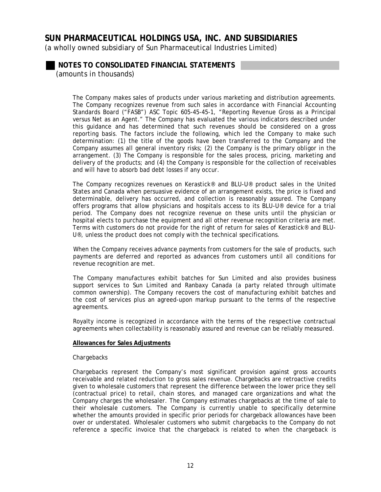(a wholly owned subsidiary of Sun Pharmaceutical Industries Limited)

### **NOTES TO CONSOLIDATED FINANCIAL STATEMENTS**  *(amounts in thousands)*

The Company makes sales of products under various marketing and distribution agreements. The Company recognizes revenue from such sales in accordance with Financial Accounting Standards Board ("FASB") ASC Topic 605-45-45-1, "Reporting Revenue Gross as a Principal versus Net as an Agent." The Company has evaluated the various indicators described under this guidance and has determined that such revenues should be considered on a gross reporting basis. The factors include the following, which led the Company to make such determination: (1) the title of the goods have been transferred to the Company and the Company assumes all general inventory risks; (2) the Company is the primary obligor in the arrangement. (3) The Company is responsible for the sales process, pricing, marketing and delivery of the products; and (4) the Company is responsible for the collection of receivables and will have to absorb bad debt losses if any occur.

The Company recognizes revenues on Kerastick® and BLU-U® product sales in the United States and Canada when persuasive evidence of an arrangement exists, the price is fixed and determinable, delivery has occurred, and collection is reasonably assured. The Company offers programs that allow physicians and hospitals access to its BLU-U® device for a trial period. The Company does not recognize revenue on these units until the physician or hospital elects to purchase the equipment and all other revenue recognition criteria are met. Terms with customers do not provide for the right of return for sales of Kerastick® and BLU-U<sup>®</sup>, unless the product does not comply with the technical specifications.

When the Company receives advance payments from customers for the sale of products, such payments are deferred and reported as advances from customers until all conditions for revenue recognition are met.

The Company manufactures exhibit batches for Sun Limited and also provides business support services to Sun Limited and Ranbaxy Canada (a party related through ultimate common ownership). The Company recovers the cost of manufacturing exhibit batches and the cost of services plus an agreed-upon markup pursuant to the terms of the respective agreements.

Royalty income is recognized in accordance with the terms of the respective contractual agreements when collectability is reasonably assured and revenue can be reliably measured.

#### **Allowances for Sales Adjustments**

#### *Chargebacks*

Chargebacks represent the Company's most significant provision against gross accounts receivable and related reduction to gross sales revenue. Chargebacks are retroactive credits given to wholesale customers that represent the difference between the lower price they sell (contractual price) to retail, chain stores, and managed care organizations and what the Company charges the wholesaler. The Company estimates chargebacks at the time of sale to their wholesale customers. The Company is currently unable to specifically determine whether the amounts provided in specific prior periods for chargeback allowances have been over or understated. Wholesaler customers who submit chargebacks to the Company do not reference a specific invoice that the chargeback is related to when the chargeback is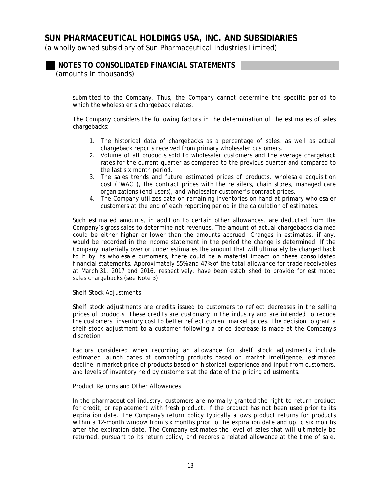(a wholly owned subsidiary of Sun Pharmaceutical Industries Limited)

## **NOTES TO CONSOLIDATED FINANCIAL STATEMENTS**

*(amounts in thousands)* 

submitted to the Company. Thus, the Company cannot determine the specific period to which the wholesaler's chargeback relates.

The Company considers the following factors in the determination of the estimates of sales chargebacks:

- 1. The historical data of chargebacks as a percentage of sales, as well as actual chargeback reports received from primary wholesaler customers.
- 2. Volume of all products sold to wholesaler customers and the average chargeback rates for the current quarter as compared to the previous quarter and compared to the last six month period.
- 3. The sales trends and future estimated prices of products, wholesale acquisition cost ("WAC"), the contract prices with the retailers, chain stores, managed care organizations (end-users), and wholesaler customer's contract prices.
- 4. The Company utilizes data on remaining inventories on hand at primary wholesaler customers at the end of each reporting period in the calculation of estimates.

Such estimated amounts, in addition to certain other allowances, are deducted from the Company's gross sales to determine net revenues. The amount of actual chargebacks claimed could be either higher or lower than the amounts accrued. Changes in estimates, if any, would be recorded in the income statement in the period the change is determined. If the Company materially over or under estimates the amount that will ultimately be charged back to it by its wholesale customers, there could be a material impact on these consolidated financial statements. Approximately 55% and 47% of the total allowance for trade receivables at March 31, 2017 and 2016, respectively, have been established to provide for estimated sales chargebacks (see Note 3).

#### *Shelf Stock Adjustments*

Shelf stock adjustments are credits issued to customers to reflect decreases in the selling prices of products. These credits are customary in the industry and are intended to reduce the customers' inventory cost to better reflect current market prices. The decision to grant a shelf stock adjustment to a customer following a price decrease is made at the Company's discretion.

Factors considered when recording an allowance for shelf stock adjustments include estimated launch dates of competing products based on market intelligence, estimated decline in market price of products based on historical experience and input from customers, and levels of inventory held by customers at the date of the pricing adjustments.

### *Product Returns and Other Allowances*

In the pharmaceutical industry, customers are normally granted the right to return product for credit, or replacement with fresh product, if the product has not been used prior to its expiration date. The Company's return policy typically allows product returns for products within a 12-month window from six months prior to the expiration date and up to six months after the expiration date. The Company estimates the level of sales that will ultimately be returned, pursuant to its return policy, and records a related allowance at the time of sale.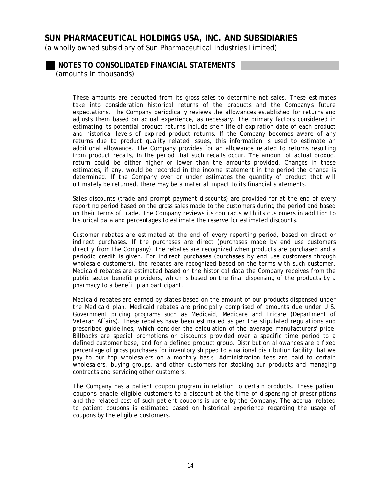(a wholly owned subsidiary of Sun Pharmaceutical Industries Limited)

## **NOTES TO CONSOLIDATED FINANCIAL STATEMENTS**

*(amounts in thousands)* 

These amounts are deducted from its gross sales to determine net sales. These estimates take into consideration historical returns of the products and the Company's future expectations. The Company periodically reviews the allowances established for returns and adjusts them based on actual experience, as necessary. The primary factors considered in estimating its potential product returns include shelf life of expiration date of each product and historical levels of expired product returns. If the Company becomes aware of any returns due to product quality related issues, this information is used to estimate an additional allowance. The Company provides for an allowance related to returns resulting from product recalls, in the period that such recalls occur. The amount of actual product return could be either higher or lower than the amounts provided. Changes in these estimates, if any, would be recorded in the income statement in the period the change is determined. If the Company over or under estimates the quantity of product that will ultimately be returned, there may be a material impact to its financial statements.

Sales discounts (trade and prompt payment discounts) are provided for at the end of every reporting period based on the gross sales made to the customers during the period and based on their terms of trade. The Company reviews its contracts with its customers in addition to historical data and percentages to estimate the reserve for estimated discounts.

Customer rebates are estimated at the end of every reporting period, based on direct or indirect purchases. If the purchases are direct (purchases made by end use customers directly from the Company), the rebates are recognized when products are purchased and a periodic credit is given. For indirect purchases (purchases by end use customers through wholesale customers), the rebates are recognized based on the terms with such customer. Medicaid rebates are estimated based on the historical data the Company receives from the public sector benefit providers, which is based on the final dispensing of the products by a pharmacy to a benefit plan participant.

Medicaid rebates are earned by states based on the amount of our products dispensed under the Medicaid plan. Medicaid rebates are principally comprised of amounts due under U.S. Government pricing programs such as Medicaid, Medicare and Tricare (Department of Veteran Affairs). These rebates have been estimated as per the stipulated regulations and prescribed guidelines, which consider the calculation of the average manufacturers' price. Billbacks are special promotions or discounts provided over a specific time period to a defined customer base, and for a defined product group. Distribution allowances are a fixed percentage of gross purchases for inventory shipped to a national distribution facility that we pay to our top wholesalers on a monthly basis. Administration fees are paid to certain wholesalers, buying groups, and other customers for stocking our products and managing contracts and servicing other customers.

The Company has a patient coupon program in relation to certain products. These patient coupons enable eligible customers to a discount at the time of dispensing of prescriptions and the related cost of such patient coupons is borne by the Company. The accrual related to patient coupons is estimated based on historical experience regarding the usage of coupons by the eligible customers.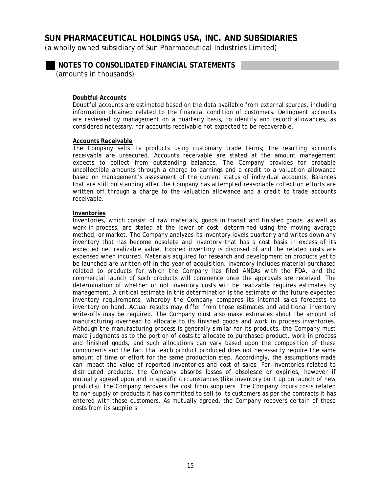(a wholly owned subsidiary of Sun Pharmaceutical Industries Limited)

**NOTES TO CONSOLIDATED FINANCIAL STATEMENTS** 

*(amounts in thousands)* 

### **Doubtful Accounts**

Doubtful accounts are estimated based on the data available from external sources, including information obtained related to the financial condition of customers. Delinquent accounts are reviewed by management on a quarterly basis, to identify and record allowances, as considered necessary, for accounts receivable not expected to be recoverable.

#### **Accounts Receivable**

The Company sells its products using customary trade terms; the resulting accounts receivable are unsecured. Accounts receivable are stated at the amount management expects to collect from outstanding balances. The Company provides for probable uncollectible amounts through a charge to earnings and a credit to a valuation allowance based on management's assessment of the current status of individual accounts. Balances that are still outstanding after the Company has attempted reasonable collection efforts are written off through a charge to the valuation allowance and a credit to trade accounts receivable.

#### **Inventories**

Inventories, which consist of raw materials, goods in transit and finished goods, as well as work-in-process, are stated at the lower of cost, determined using the moving average method, or market. The Company analyzes its inventory levels quarterly and writes down any inventory that has become obsolete and inventory that has a cost basis in excess of its expected net realizable value. Expired inventory is disposed of and the related costs are expensed when incurred. Materials acquired for research and development on products yet to be launched are written off in the year of acquisition. Inventory includes material purchased related to products for which the Company has filed ANDAs with the FDA, and the commercial launch of such products will commence once the approvals are received. The determination of whether or not inventory costs will be realizable requires estimates by management. A critical estimate in this determination is the estimate of the future expected inventory requirements, whereby the Company compares its internal sales forecasts to inventory on hand. Actual results may differ from those estimates and additional inventory write-offs may be required. The Company must also make estimates about the amount of manufacturing overhead to allocate to its finished goods and work in process inventories. Although the manufacturing process is generally similar for its products, the Company must make judgments as to the portion of costs to allocate to purchased product, work in process and finished goods, and such allocations can vary based upon the composition of these components and the fact that each product produced does not necessarily require the same amount of time or effort for the same production step. Accordingly, the assumptions made can impact the value of reported inventories and cost of sales. For inventories related to distributed products, the Company absorbs losses of obsolesce or expiries, however if mutually agreed upon and in specific circumstances (like inventory built up on launch of new products), the Company recovers the cost from suppliers. The Company incurs costs related to non-supply of products it has committed to sell to its customers as per the contracts it has entered with these customers. As mutually agreed, the Company recovers certain of these costs from its suppliers.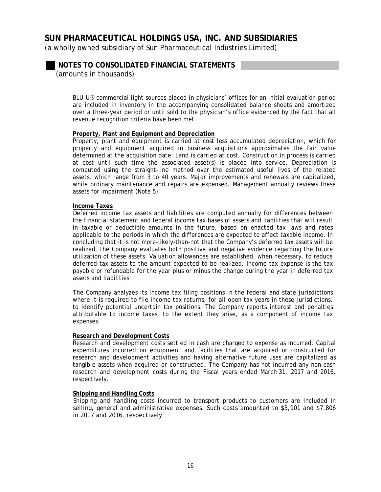(a wholly owned subsidiary of Sun Pharmaceutical Industries Limited)

**NOTES TO CONSOLIDATED FINANCIAL STATEMENTS** 

*(amounts in thousands)* 

BLU-U® commercial light sources placed in physicians' offices for an initial evaluation period are included in inventory in the accompanying consolidated balance sheets and amortized over a three-year period or until sold to the physician's office evidenced by the fact that all revenue recognition criteria have been met.

### **Property, Plant and Equipment and Depreciation**

Property, plant and equipment is carried at cost less accumulated depreciation, which for property and equipment acquired in business acquisitions approximates the fair value determined at the acquisition date. Land is carried at cost. Construction in process is carried at cost until such time the associated asset(s) is placed into service. Depreciation is computed using the straight-line method over the estimated useful lives of the related assets, which range from 3 to 40 years. Major improvements and renewals are capitalized, while ordinary maintenance and repairs are expensed. Management annually reviews these assets for impairment (Note 5).

#### **Income Taxes**

Deferred income tax assets and liabilities are computed annually for differences between the financial statement and federal income tax bases of assets and liabilities that will result in taxable or deductible amounts in the future, based on enacted tax laws and rates applicable to the periods in which the differences are expected to affect taxable income. In concluding that it is not more-likely-than-not that the Company's deferred tax assets will be realized, the Company evaluates both positive and negative evidence regarding the future utilization of these assets. Valuation allowances are established, when necessary, to reduce deferred tax assets to the amount expected to be realized. Income tax expense is the tax payable or refundable for the year plus or minus the change during the year in deferred tax assets and liabilities.

The Company analyzes its income tax filing positions in the federal and state jurisdictions where it is required to file income tax returns, for all open tax years in these jurisdictions, to identify potential uncertain tax positions. The Company reports interest and penalties attributable to income taxes, to the extent they arise, as a component of income tax expenses.

#### **Research and Development Costs**

Research and development costs settled in cash are charged to expense as incurred. Capital expenditures incurred on equipment and facilities that are acquired or constructed for research and development activities and having alternative future uses are capitalized as tangible assets when acquired or constructed. The Company has not incurred any non-cash research and development costs during the Fiscal years ended March 31, 2017 and 2016, respectively.

### **Shipping and Handling Costs**

Shipping and handling costs incurred to transport products to customers are included in selling, general and administrative expenses. Such costs amounted to \$5,901 and \$7,806 in 2017 and 2016, respectively.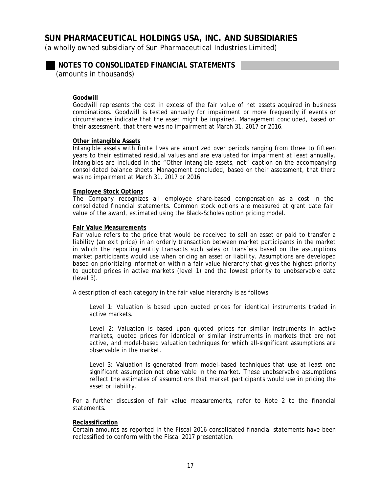(a wholly owned subsidiary of Sun Pharmaceutical Industries Limited)

**NOTES TO CONSOLIDATED FINANCIAL STATEMENTS** 

*(amounts in thousands)* 

### **Goodwill**

Goodwill represents the cost in excess of the fair value of net assets acquired in business combinations. Goodwill is tested annually for impairment or more frequently if events or circumstances indicate that the asset might be impaired. Management concluded, based on their assessment, that there was no impairment at March 31, 2017 or 2016.

#### **Other intangible Assets**

Intangible assets with finite lives are amortized over periods ranging from three to fifteen years to their estimated residual values and are evaluated for impairment at least annually. Intangibles are included in the "Other intangible assets, net" caption on the accompanying consolidated balance sheets. Management concluded, based on their assessment, that there was no impairment at March 31, 2017 or 2016.

#### **Employee Stock Options**

The Company recognizes all employee share-based compensation as a cost in the consolidated financial statements. Common stock options are measured at grant date fair value of the award, estimated using the Black-Scholes option pricing model.

### **Fair Value Measurements**

Fair value refers to the price that would be received to sell an asset or paid to transfer a liability (an exit price) in an orderly transaction between market participants in the market in which the reporting entity transacts such sales or transfers based on the assumptions market participants would use when pricing an asset or liability. Assumptions are developed based on prioritizing information within a fair value hierarchy that gives the highest priority to quoted prices in active markets (level 1) and the lowest priority to unobservable data (level 3).

A description of each category in the fair value hierarchy is as follows:

Level 1: Valuation is based upon quoted prices for identical instruments traded in active markets.

Level 2: Valuation is based upon quoted prices for similar instruments in active markets, quoted prices for identical or similar instruments in markets that are not active, and model-based valuation techniques for which all-significant assumptions are observable in the market.

Level 3: Valuation is generated from model-based techniques that use at least one significant assumption not observable in the market. These unobservable assumptions reflect the estimates of assumptions that market participants would use in pricing the asset or liability.

For a further discussion of fair value measurements, refer to Note 2 to the financial statements.

#### **Reclassification**

Certain amounts as reported in the Fiscal 2016 consolidated financial statements have been reclassified to conform with the Fiscal 2017 presentation.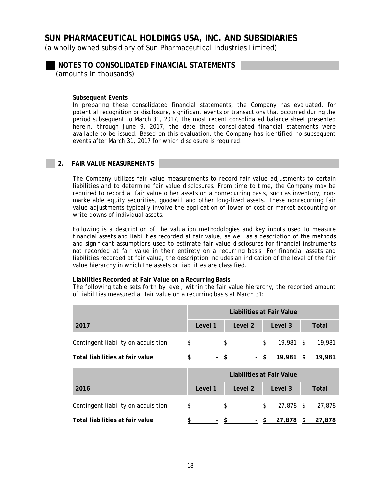(a wholly owned subsidiary of Sun Pharmaceutical Industries Limited)

**NOTES TO CONSOLIDATED FINANCIAL STATEMENTS** 

*(amounts in thousands)* 

### **Subsequent Events**

In preparing these consolidated financial statements, the Company has evaluated, for potential recognition or disclosure, significant events or transactions that occurred during the period subsequent to March 31, 2017, the most recent consolidated balance sheet presented herein, through June 9, 2017, the date these consolidated financial statements were available to be issued. Based on this evaluation, the Company has identified no subsequent events after March 31, 2017 for which disclosure is required.

### **2. FAIR VALUE MEASUREMENTS**

The Company utilizes fair value measurements to record fair value adjustments to certain liabilities and to determine fair value disclosures. From time to time, the Company may be required to record at fair value other assets on a nonrecurring basis, such as inventory, nonmarketable equity securities, goodwill and other long-lived assets. These nonrecurring fair value adjustments typically involve the application of lower of cost or market accounting or write downs of individual assets.

Following is a description of the valuation methodologies and key inputs used to measure financial assets and liabilities recorded at fair value, as well as a description of the methods and significant assumptions used to estimate fair value disclosures for financial instruments not recorded at fair value in their entirety on a recurring basis. For financial assets and liabilities recorded at fair value, the description includes an indication of the level of the fair value hierarchy in which the assets or liabilities are classified.

### **Liabilities Recorded at Fair Value on a Recurring Basis**

The following table sets forth by level, within the fair value hierarchy, the recorded amount of liabilities measured at fair value on a recurring basis at March 31:

|                                     |                  | <b>Liabilities at Fair Value</b> |                                                                                     |        |         |    |              |
|-------------------------------------|------------------|----------------------------------|-------------------------------------------------------------------------------------|--------|---------|----|--------------|
| 2017                                | Level 1          |                                  | Level 2                                                                             |        | Level 3 |    | <b>Total</b> |
| Contingent liability on acquisition | $\text{\$}$ - \$ |                                  |                                                                                     | $-$ \$ | 19,981  | \$ | 19,981       |
| Total liabilities at fair value     |                  |                                  | $\frac{\$}{\$}$ $\frac{\$}{\$}$ $\frac{\$}{\$}$ $\frac{\$}{\$}$ $\frac{19,981}{\$}$ |        |         | \$ | 19,981       |
|                                     |                  | Liabilities at Fair Value        |                                                                                     |        |         |    |              |
| 2016                                | Level 1          |                                  | Level <sub>2</sub>                                                                  |        | Level 3 |    | <b>Total</b> |
| Contingent liability on acquisition | \$               |                                  | $-$ \$                                                                              | $-$ \$ | 27,878  | \$ | 27,878       |
| Total liabilities at fair value     |                  |                                  | <u>- \$- 5</u>                                                                      |        | 27,878  | \$ | 27,878       |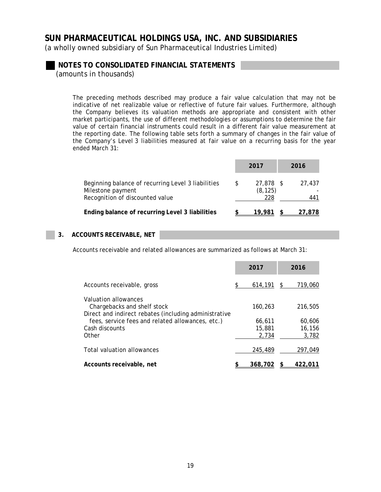(a wholly owned subsidiary of Sun Pharmaceutical Industries Limited)

**NOTES TO CONSOLIDATED FINANCIAL STATEMENTS** 

*(amounts in thousands)* 

The preceding methods described may produce a fair value calculation that may not be indicative of net realizable value or reflective of future fair values. Furthermore, although the Company believes its valuation methods are appropriate and consistent with other market participants, the use of different methodologies or assumptions to determine the fair value of certain financial instruments could result in a different fair value measurement at the reporting date. The following table sets forth a summary of changes in the fair value of the Company's Level 3 liabilities measured at fair value on a recurring basis for the year ended March 31:

|                                                                                                            |   | 2017                         | 2016          |
|------------------------------------------------------------------------------------------------------------|---|------------------------------|---------------|
| Beginning balance of recurring Level 3 liabilities<br>Milestone payment<br>Recognition of discounted value | S | 27,878 \$<br>(8, 125)<br>228 | 27,437<br>441 |
| Ending balance of recurring Level 3 liabilities                                                            |   | 19.981                       | 27.878        |

### **3. ACCOUNTS RECEIVABLE, NET**

Accounts receivable and related allowances are summarized as follows at March 31:

|                                                                                                              | 2017                      |   | 2016                      |
|--------------------------------------------------------------------------------------------------------------|---------------------------|---|---------------------------|
| Accounts receivable, gross                                                                                   | 614,191                   | S | 719,060                   |
| Valuation allowances<br>Chargebacks and shelf stock<br>Direct and indirect rebates (including administrative | 160.263                   |   | 216,505                   |
| fees, service fees and related allowances, etc.)<br>Cash discounts<br>Other                                  | 66,611<br>15,881<br>2,734 |   | 60,606<br>16,156<br>3,782 |
| Total valuation allowances                                                                                   | 245,489                   |   | 297.049                   |
| Accounts receivable, net                                                                                     | 368,702                   |   | 422.0                     |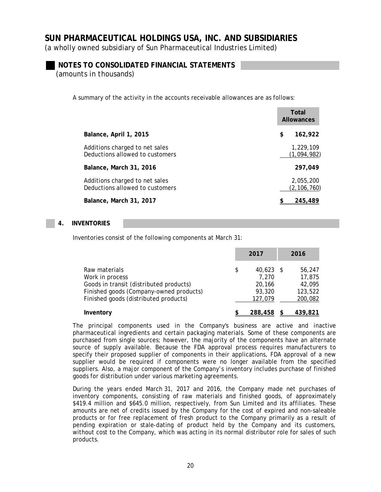(a wholly owned subsidiary of Sun Pharmaceutical Industries Limited)

### **NOTES TO CONSOLIDATED FINANCIAL STATEMENTS**

*(amounts in thousands)* 

A summary of the activity in the accounts receivable allowances are as follows:

|                                                                   | Total<br><b>Allowances</b> |
|-------------------------------------------------------------------|----------------------------|
| Balance, April 1, 2015                                            | \$<br>162,922              |
| Additions charged to net sales<br>Deductions allowed to customers | 1,229,109<br>(1,094,982)   |
| Balance, March 31, 2016                                           | 297,049                    |
| Additions charged to net sales<br>Deductions allowed to customers | 2,055,200<br>(2, 106, 760) |
| Balance, March 31, 2017                                           | 245,489                    |

### **4. INVENTORIES**

Inventories consist of the following components at March 31:

|                                                                                                                        | 2017                                           | 2016                                  |
|------------------------------------------------------------------------------------------------------------------------|------------------------------------------------|---------------------------------------|
| Raw materials<br>Work in process<br>Goods in transit (distributed products)<br>Finished goods (Company-owned products) | \$<br>$40.623$ \$<br>7.270<br>20.166<br>93,320 | 56,247<br>17,875<br>42,095<br>123,522 |
| Finished goods (distributed products)                                                                                  | 127,079                                        | 200,082                               |
| Inventory                                                                                                              | 288,458                                        | 439,821                               |

The principal components used in the Company's business are active and inactive pharmaceutical ingredients and certain packaging materials. Some of these components are purchased from single sources; however, the majority of the components have an alternate source of supply available. Because the FDA approval process requires manufacturers to specify their proposed supplier of components in their applications, FDA approval of a new supplier would be required if components were no longer available from the specified suppliers. Also, a major component of the Company's inventory includes purchase of finished goods for distribution under various marketing agreements.

During the years ended March 31, 2017 and 2016, the Company made net purchases of inventory components, consisting of raw materials and finished goods, of approximately \$419.4 million and \$645.0 million, respectively, from Sun Limited and its affiliates. These amounts are net of credits issued by the Company for the cost of expired and non-saleable products or for free replacement of fresh product to the Company primarily as a result of pending expiration or stale-dating of product held by the Company and its customers, without cost to the Company, which was acting in its normal distributor role for sales of such products.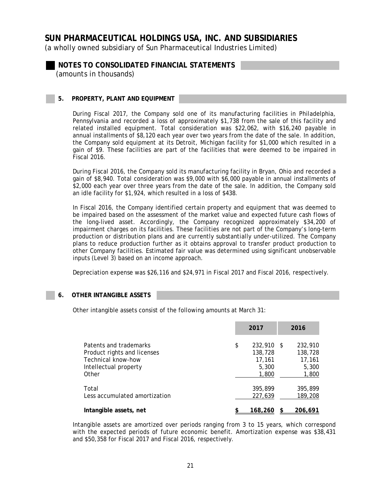(a wholly owned subsidiary of Sun Pharmaceutical Industries Limited)

**NOTES TO CONSOLIDATED FINANCIAL STATEMENTS**  *(amounts in thousands)* 

#### **5. PROPERTY, PLANT AND EQUIPMENT**

During Fiscal 2017, the Company sold one of its manufacturing facilities in Philadelphia, Pennsylvania and recorded a loss of approximately \$1,738 from the sale of this facility and related installed equipment. Total consideration was \$22,062, with \$16,240 payable in annual installments of \$8,120 each year over two years from the date of the sale. In addition, the Company sold equipment at its Detroit, Michigan facility for \$1,000 which resulted in a gain of \$9. These facilities are part of the facilities that were deemed to be impaired in Fiscal 2016.

During Fiscal 2016, the Company sold its manufacturing facility in Bryan, Ohio and recorded a gain of \$8,940. Total consideration was \$9,000 with \$6,000 payable in annual installments of \$2,000 each year over three years from the date of the sale. In addition, the Company sold an idle facility for \$1,924, which resulted in a loss of \$438.

In Fiscal 2016, the Company identified certain property and equipment that was deemed to be impaired based on the assessment of the market value and expected future cash flows of the long-lived asset. Accordingly, the Company recognized approximately \$34,200 of impairment charges on its facilities. These facilities are not part of the Company's long-term production or distribution plans and are currently substantially under-utilized. The Company plans to reduce production further as it obtains approval to transfer product production to other Company facilities. Estimated fair value was determined using significant unobservable inputs (Level 3) based on an income approach.

Depreciation expense was \$26,116 and \$24,971 in Fiscal 2017 and Fiscal 2016, respectively.

#### **6. OTHER INTANGIBLE ASSETS**

Other intangible assets consist of the following amounts at March 31:

|                               | 2017             | 2016    |
|-------------------------------|------------------|---------|
| Patents and trademarks        | \$<br>232,910 \$ | 232,910 |
| Product rights and licenses   | 138,728          | 138,728 |
| Technical know-how            | 17,161           | 17,161  |
| Intellectual property         | 5,300            | 5,300   |
| Other                         | 1,800            | 1,800   |
| Total                         | 395,899          | 395,899 |
| Less accumulated amortization | 227,639          | 189,208 |
| Intangible assets, net        | 168.260          | 206.691 |

Intangible assets are amortized over periods ranging from 3 to 15 years, which correspond with the expected periods of future economic benefit. Amortization expense was \$38,431 and \$50,358 for Fiscal 2017 and Fiscal 2016, respectively.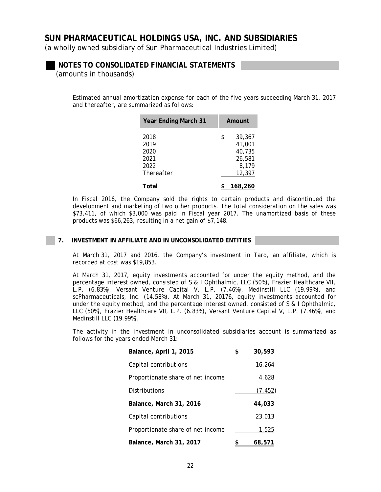(a wholly owned subsidiary of Sun Pharmaceutical Industries Limited)

### **NOTES TO CONSOLIDATED FINANCIAL STATEMENTS**

*(amounts in thousands)* 

Estimated annual amortization expense for each of the five years succeeding March 31, 2017 and thereafter, are summarized as follows:

| <b>Year Ending March 31</b> | Amount       |
|-----------------------------|--------------|
| 2018                        | \$<br>39,367 |
| 2019                        | 41,001       |
| 2020                        | 40,735       |
| 2021                        | 26,581       |
| 2022                        | 8,179        |
| Thereafter                  | 12,397       |
|                             |              |
| Total                       | 168,260      |

In Fiscal 2016, the Company sold the rights to certain products and discontinued the development and marketing of two other products. The total consideration on the sales was \$73,411, of which \$3,000 was paid in Fiscal year 2017. The unamortized basis of these products was \$66,263, resulting in a net gain of \$7,148.

### **7. INVESTMENT IN AFFILIATE AND IN UNCONSOLIDATED ENTITIES**

At March 31, 2017 and 2016, the Company's investment in Taro, an affiliate, which is recorded at cost was \$19,853.

At March 31, 2017, equity investments accounted for under the equity method, and the percentage interest owned, consisted of S & I Ophthalmic, LLC (50%), Frazier Healthcare VII, L.P. (6.83%), Versant Venture Capital V, L.P. (7.46%), Medinstill LLC (19.99%), and scPharmaceuticals, Inc. (14.58%). At March 31, 20176, equity investments accounted for under the equity method, and the percentage interest owned, consisted of S & I Ophthalmic, LLC (50%), Frazier Healthcare VII, L.P. (6.83%), Versant Venture Capital V, L.P. (7.46%), and Medinstill LLC (19.99%).

The activity in the investment in unconsolidated subsidiaries account is summarized as follows for the years ended March 31:

| Balance, April 1, 2015            | \$<br>30,593 |
|-----------------------------------|--------------|
| Capital contributions             | 16,264       |
| Proportionate share of net income | 4,628        |
| <b>Distributions</b>              | (7, 452)     |
| Balance, March 31, 2016           | 44,033       |
| Capital contributions             | 23,013       |
| Proportionate share of net income | 1,525        |
| Balance, March 31, 2017           | 68,571       |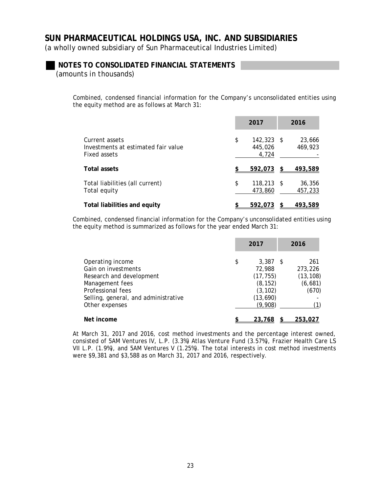(a wholly owned subsidiary of Sun Pharmaceutical Industries Limited)

### **NOTES TO CONSOLIDATED FINANCIAL STATEMENTS**

*(amounts in thousands)* 

Combined, condensed financial information for the Company's unconsolidated entities using the equity method are as follows at March 31:

|                                                                       | 2017                                   | 2016              |
|-----------------------------------------------------------------------|----------------------------------------|-------------------|
| Current assets<br>Investments at estimated fair value<br>Fixed assets | \$<br>$142,323$ \$<br>445,026<br>4,724 | 23,666<br>469,923 |
| <b>Total assets</b>                                                   | 592,073                                | 493,589           |
| Total liabilities (all current)<br>Total equity                       | \$<br>$118,213$ \$<br>473,860          | 36,356<br>457,233 |
| Total liabilities and equity                                          | 592,073                                | 493,589           |

Combined, condensed financial information for the Company's unconsolidated entities using the equity method is summarized as follows for the year ended March 31:

|                                                                                                                                                                       | 2017                                                                                    | 2016                                            |
|-----------------------------------------------------------------------------------------------------------------------------------------------------------------------|-----------------------------------------------------------------------------------------|-------------------------------------------------|
| Operating income<br>Gain on investments<br>Research and development<br>Management fees<br>Professional fees<br>Selling, general, and administrative<br>Other expenses | \$<br>$3,387$ \$<br>72,988<br>(17, 755)<br>(8, 152)<br>(3, 102)<br>(13, 690)<br>(9,908) | 261<br>273,226<br>(13, 108)<br>(6,681)<br>(670) |
| Net income                                                                                                                                                            | 23.768                                                                                  | 253.027                                         |

At March 31, 2017 and 2016, cost method investments and the percentage interest owned, consisted of 5AM Ventures IV, L.P. (3.3%) Atlas Venture Fund (3.57%), Frazier Health Care LS VII L.P. (1.9%), and 5AM Ventures V (1.25%). The total interests in cost method investments were \$9,381 and \$3,588 as on March 31, 2017 and 2016, respectively.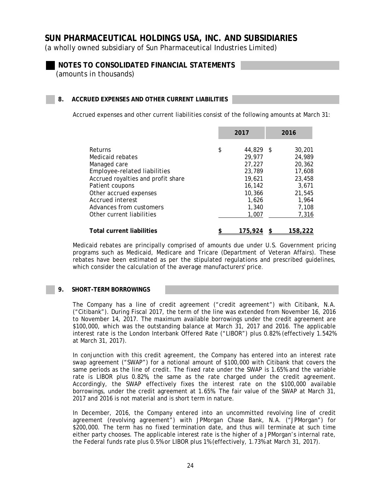(a wholly owned subsidiary of Sun Pharmaceutical Industries Limited)

**NOTES TO CONSOLIDATED FINANCIAL STATEMENTS** 

*(amounts in thousands)* 

### **8. ACCRUED EXPENSES AND OTHER CURRENT LIABILITIES**

Accrued expenses and other current liabilities consist of the following amounts at March 31:

|                                                                                                                                                                                                                                            | 2017                                                                                                |      | 2016                                                                                         |
|--------------------------------------------------------------------------------------------------------------------------------------------------------------------------------------------------------------------------------------------|-----------------------------------------------------------------------------------------------------|------|----------------------------------------------------------------------------------------------|
| Returns<br>Medicaid rebates<br>Managed care<br>Employee-related liabilities<br>Accrued royalties and profit share<br>Patient coupons<br>Other accrued expenses<br>Accrued interest<br>Advances from customers<br>Other current liabilities | \$<br>44,829<br>29,977<br>27,227<br>23,789<br>19,621<br>16,142<br>10,366<br>1.626<br>1,340<br>1,007 | - \$ | 30,201<br>24,989<br>20,362<br>17,608<br>23,458<br>3,671<br>21,545<br>1,964<br>7,108<br>7,316 |
| <b>Total current liabilities</b>                                                                                                                                                                                                           | 175.924                                                                                             |      | 158.22                                                                                       |

Medicaid rebates are principally comprised of amounts due under U.S. Government pricing programs such as Medicaid, Medicare and Tricare (Department of Veteran Affairs). These rebates have been estimated as per the stipulated regulations and prescribed guidelines, which consider the calculation of the average manufacturers' price.

### **9. SHORT-TERM BORROWINGS**

The Company has a line of credit agreement ("credit agreement") with Citibank, N.A. ("Citibank"). During Fiscal 2017, the term of the line was extended from November 16, 2016 to November 14, 2017. The maximum available borrowings under the credit agreement are \$100,000, which was the outstanding balance at March 31, 2017 and 2016. The applicable interest rate is the London Interbank Offered Rate ("LIBOR") plus 0.82% (effectively 1.542% at March 31, 2017).

In conjunction with this credit agreement, the Company has entered into an interest rate swap agreement ("SWAP") for a notional amount of \$100,000 with Citibank that covers the same periods as the line of credit. The fixed rate under the SWAP is 1.65% and the variable rate is LIBOR plus 0.82%, the same as the rate charged under the credit agreement. Accordingly, the SWAP effectively fixes the interest rate on the \$100,000 available borrowings, under the credit agreement at 1.65%. The fair value of the SWAP at March 31, 2017 and 2016 is not material and is short term in nature.

In December, 2016, the Company entered into an uncommitted revolving line of credit agreement (revolving agreement") with JPMorgan Chase Bank, N.A. ("JPMorgan") for \$200,000. The term has no fixed termination date, and thus will terminate at such time either party chooses. The applicable interest rate is the higher of a JPMorgan's internal rate, the Federal funds rate plus 0.5% or LIBOR plus 1% (effectively, 1.73% at March 31, 2017).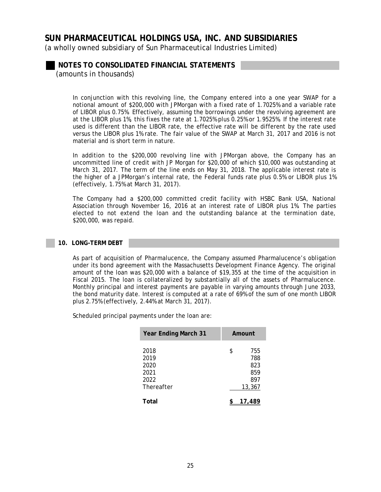(a wholly owned subsidiary of Sun Pharmaceutical Industries Limited)

**NOTES TO CONSOLIDATED FINANCIAL STATEMENTS** 

*(amounts in thousands)* 

In conjunction with this revolving line, the Company entered into a one year SWAP for a notional amount of \$200,000 with JPMorgan with a fixed rate of 1.7025% and a variable rate of LIBOR plus 0.75%. Effectively, assuming the borrowings under the revolving agreement are at the LIBOR plus 1%, this fixes the rate at 1.7025% plus 0.25% or 1.9525%. If the interest rate used is different than the LIBOR rate, the effective rate will be different by the rate used versus the LIBOR plus 1% rate. The fair value of the SWAP at March 31, 2017 and 2016 is not material and is short term in nature.

In addition to the \$200,000 revolving line with JPMorgan above, the Company has an uncommitted line of credit with JP Morgan for \$20,000 of which \$10,000 was outstanding at March 31, 2017. The term of the line ends on May 31, 2018. The applicable interest rate is the higher of a JPMorgan's internal rate, the Federal funds rate plus 0.5% or LIBOR plus 1% (effectively, 1.75% at March 31, 2017).

The Company had a \$200,000 committed credit facility with HSBC Bank USA, National Association through November 16, 2016 at an interest rate of LIBOR plus 1%. The parties elected to not extend the loan and the outstanding balance at the termination date, \$200,000, was repaid.

### **10. LONG-TERM DEBT**

As part of acquisition of Pharmalucence, the Company assumed Pharmalucence's obligation under its bond agreement with the Massachusetts Development Finance Agency. The original amount of the loan was \$20,000 with a balance of \$19,355 at the time of the acquisition in Fiscal 2015. The loan is collateralized by substantially all of the assets of Pharmalucence. Monthly principal and interest payments are payable in varying amounts through June 2033, the bond maturity date. Interest is computed at a rate of 69% of the sum of one month LIBOR plus 2.75% (effectively, 2.44% at March 31, 2017).

Scheduled principal payments under the loan are:

|       |            | <b>Year Ending March 31</b> |    | Amount |
|-------|------------|-----------------------------|----|--------|
| 2018  |            |                             | \$ | 755    |
| 2019  |            |                             |    | 788    |
| 2020  |            |                             |    | 823    |
| 2021  |            |                             |    | 859    |
| 2022  |            |                             |    | 897    |
|       | Thereafter |                             |    | 13,367 |
| Total |            |                             |    | 17,489 |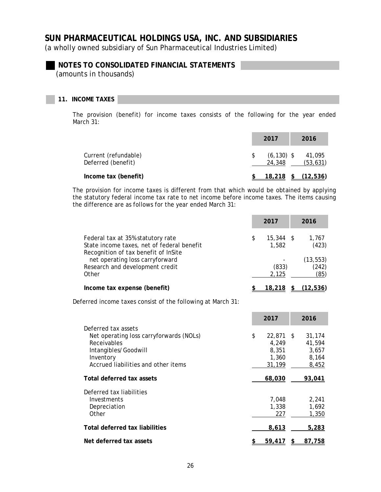(a wholly owned subsidiary of Sun Pharmaceutical Industries Limited)

## **NOTES TO CONSOLIDATED FINANCIAL STATEMENTS**

*(amounts in thousands)* 

### **11. INCOME TAXES**

The provision (benefit) for income taxes consists of the following for the year ended March 31:

|                                            | 2017 | 2016                                           |
|--------------------------------------------|------|------------------------------------------------|
| Current (refundable)<br>Deferred (benefit) |      | $(6, 130)$ \$<br>41,095<br>(53, 631)<br>24,348 |
| Income tax (benefit)                       |      | (12,536)<br><u>18,218</u>                      |

The provision for income taxes is different from that which would be obtained by applying the statutory federal income tax rate to net income before income taxes. The items causing the difference are as follows for the year ended March 31:

|                                                                                    | 2017 |             | 2016      |
|------------------------------------------------------------------------------------|------|-------------|-----------|
| Federal tax at 35% statutory rate                                                  | S    | $15.344$ \$ | 1,767     |
| State income taxes, net of federal benefit<br>Recognition of tax benefit of InSite |      | 1,582       | (423)     |
| net operating loss carryforward                                                    |      |             | (13, 553) |
| Research and development credit                                                    |      | (833)       | (242)     |
| Other                                                                              |      | 2,125       | (85)      |
| Income tax expense (benefit)                                                       |      | 18,218      | (12, 536) |

Deferred income taxes consist of the following at March 31:

|                                                                                                                                                           | 2017                                                   | 2016                                        |
|-----------------------------------------------------------------------------------------------------------------------------------------------------------|--------------------------------------------------------|---------------------------------------------|
| Deferred tax assets<br>Net operating loss carryforwards (NOLs)<br>Receivables<br>Intangibles/Goodwill<br>Inventory<br>Accrued liabilities and other items | \$<br>$22,871$ \$<br>4,249<br>8,351<br>1,360<br>31,199 | 31,174<br>41,594<br>3,657<br>8,164<br>8,452 |
| Total deferred tax assets                                                                                                                                 | 68,030                                                 | 93,041                                      |
| Deferred tax liabilities<br>Investments<br>Depreciation<br>Other                                                                                          | 7,048<br>1,338<br>227                                  | 2,241<br>1,692<br>1,350                     |
| Total deferred tax liabilities                                                                                                                            | 8,613                                                  | 5,283                                       |
| Net deferred tax assets                                                                                                                                   | 59,417                                                 | 87,758                                      |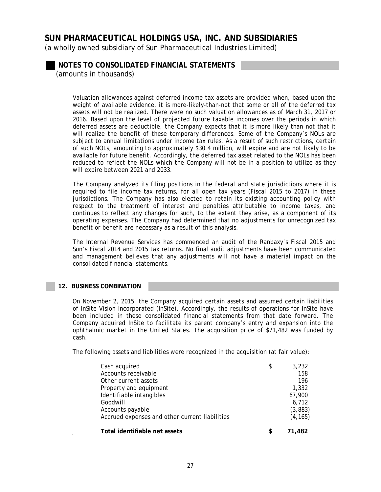(a wholly owned subsidiary of Sun Pharmaceutical Industries Limited)

**NOTES TO CONSOLIDATED FINANCIAL STATEMENTS** 

*(amounts in thousands)* 

Valuation allowances against deferred income tax assets are provided when, based upon the weight of available evidence, it is more-likely-than-not that some or all of the deferred tax assets will not be realized. There were no such valuation allowances as of March 31, 2017 or 2016. Based upon the level of projected future taxable incomes over the periods in which deferred assets are deductible, the Company expects that it is more likely than not that it will realize the benefit of these temporary differences. Some of the Company's NOLs are subject to annual limitations under income tax rules. As a result of such restrictions, certain of such NOLs, amounting to approximately \$30.4 million, will expire and are not likely to be available for future benefit. Accordingly, the deferred tax asset related to the NOLs has been reduced to reflect the NOLs which the Company will not be in a position to utilize as they will expire between 2021 and 2033.

The Company analyzed its filing positions in the federal and state jurisdictions where it is required to file income tax returns, for all open tax years (Fiscal 2015 to 2017) in these jurisdictions. The Company has also elected to retain its existing accounting policy with respect to the treatment of interest and penalties attributable to income taxes, and continues to reflect any changes for such, to the extent they arise, as a component of its operating expenses. The Company had determined that no adjustments for unrecognized tax benefit or benefit are necessary as a result of this analysis.

The Internal Revenue Services has commenced an audit of the Ranbaxy's Fiscal 2015 and Sun's Fiscal 2014 and 2015 tax returns. No final audit adjustments have been communicated and management believes that any adjustments will not have a material impact on the consolidated financial statements.

#### **12. BUSINESS COMBINATION**

On November 2, 2015, the Company acquired certain assets and assumed certain liabilities of InSite Vision Incorporated (InSite). Accordingly, the results of operations for InSite have been included in these consolidated financial statements from that date forward. The Company acquired InSite to facilitate its parent company's entry and expansion into the ophthalmic market in the United States. The acquisition price of \$71,482 was funded by cash.

The following assets and liabilities were recognized in the acquisition (at fair value):

| Cash acquired                                  | \$<br>3,232 |
|------------------------------------------------|-------------|
| Accounts receivable                            | 158         |
| Other current assets                           | 196         |
| Property and equipment                         | 1,332       |
| Identifiable intangibles                       | 67,900      |
| Goodwill                                       | 6,712       |
| Accounts payable                               | (3,883)     |
| Accrued expenses and other current liabilities | (4, 165)    |
| Total identifiable net assets                  |             |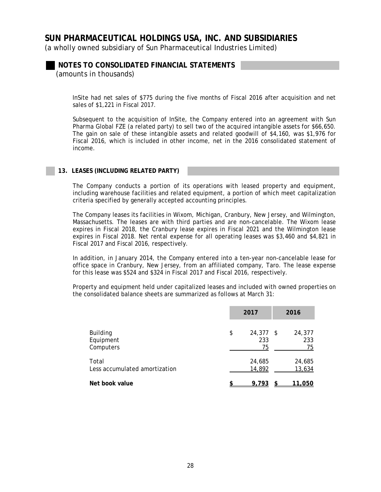(a wholly owned subsidiary of Sun Pharmaceutical Industries Limited)

**NOTES TO CONSOLIDATED FINANCIAL STATEMENTS**  *(amounts in thousands)* 

InSite had net sales of \$775 during the five months of Fiscal 2016 after acquisition and net sales of \$1,221 in Fiscal 2017.

Subsequent to the acquisition of InSite, the Company entered into an agreement with Sun Pharma Global FZE (a related party) to sell two of the acquired intangible assets for \$66,650. The gain on sale of these intangible assets and related goodwill of \$4,160, was \$1,976 for Fiscal 2016, which is included in other income, net in the 2016 consolidated statement of income.

### **13. LEASES (INCLUDING RELATED PARTY)**

The Company conducts a portion of its operations with leased property and equipment, including warehouse facilities and related equipment, a portion of which meet capitalization criteria specified by generally accepted accounting principles.

The Company leases its facilities in Wixom, Michigan, Cranbury, New Jersey, and Wilmington, Massachusetts. The leases are with third parties and are non-cancelable. The Wixom lease expires in Fiscal 2018, the Cranbury lease expires in Fiscal 2021 and the Wilmington lease expires in Fiscal 2018. Net rental expense for all operating leases was \$3,460 and \$4,821 in Fiscal 2017 and Fiscal 2016, respectively.

In addition, in January 2014, the Company entered into a ten-year non-cancelable lease for office space in Cranbury, New Jersey, from an affiliated company, Taro. The lease expense for this lease was \$524 and \$324 in Fiscal 2017 and Fiscal 2016, respectively.

Property and equipment held under capitalized leases and included with owned properties on the consolidated balance sheets are summarized as follows at March 31:

|                                           | 2017 |                     |      | 2016                |
|-------------------------------------------|------|---------------------|------|---------------------|
| <b>Building</b><br>Equipment<br>Computers | \$   | 24,377<br>233<br>75 | - \$ | 24,377<br>233<br>75 |
| Total<br>Less accumulated amortization    |      | 24,685<br>14,892    |      | 24,685<br>13,634    |
| Net book value                            |      | 9,793               |      | 11,050              |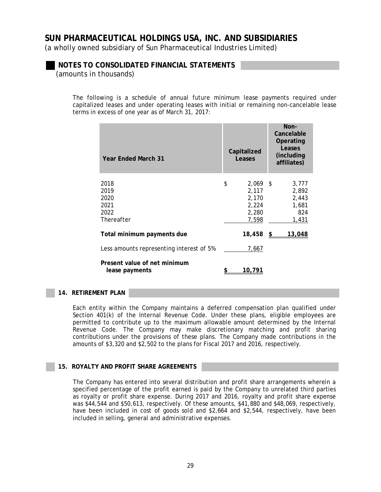(a wholly owned subsidiary of Sun Pharmaceutical Industries Limited)

### **NOTES TO CONSOLIDATED FINANCIAL STATEMENTS**

*(amounts in thousands)* 

The following is a schedule of annual future minimum lease payments required under capitalized leases and under operating leases with initial or remaining non-cancelable lease terms in excess of one year as of March 31, 2017:

| <b>Year Ended March 31</b>                         | Capitalized<br>Leases                                         | Non-<br>Cancelable<br>Operating<br>Leases<br>(including)<br>affiliates) |
|----------------------------------------------------|---------------------------------------------------------------|-------------------------------------------------------------------------|
| 2018<br>2019<br>2020<br>2021<br>2022<br>Thereafter | \$<br>$2,069$ \$<br>2,117<br>2,170<br>2,224<br>2,280<br>7,598 | 3,777<br>2,892<br>2,443<br>1,681<br>824<br>1,431                        |
| Total minimum payments due                         | 18,458                                                        | 13,048<br>\$                                                            |
| Less amounts representing interest of 5%           | <u>7,667</u>                                                  |                                                                         |
| Present value of net minimum<br>lease payments     | 10,791                                                        |                                                                         |

### **14. RETIREMENT PLAN**

Each entity within the Company maintains a deferred compensation plan qualified under Section 401(k) of the Internal Revenue Code. Under these plans, eligible employees are permitted to contribute up to the maximum allowable amount determined by the Internal Revenue Code. The Company may make discretionary matching and profit sharing contributions under the provisions of these plans. The Company made contributions in the amounts of \$3,320 and \$2,502 to the plans for Fiscal 2017 and 2016, respectively.

### **15. ROYALTY AND PROFIT SHARE AGREEMENTS**

The Company has entered into several distribution and profit share arrangements wherein a specified percentage of the profit earned is paid by the Company to unrelated third parties as royalty or profit share expense. During 2017 and 2016, royalty and profit share expense was \$44,544 and \$50,613, respectively. Of these amounts, \$41,880 and \$48,069, respectively, have been included in cost of goods sold and \$2,664 and \$2,544, respectively, have been included in selling, general and administrative expenses.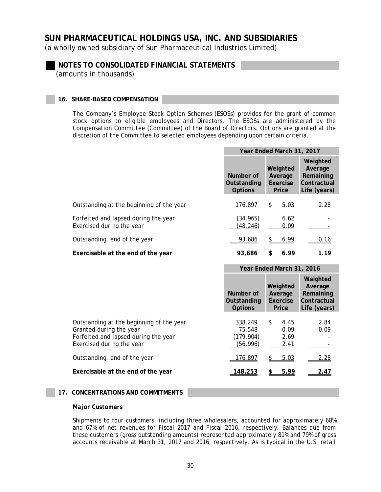(a wholly owned subsidiary of Sun Pharmaceutical Industries Limited)

**NOTES TO CONSOLIDATED FINANCIAL STATEMENTS**  *(amounts in thousands)* 

### **16. SHARE-BASED COMPENSATION**

The Company's Employee Stock Option Schemes (ESOSs) provides for the grant of common stock options to eligible employees and Directors. The ESOSs are administered by the Compensation Committee (Committee) of the Board of Directors. Options are granted at the discretion of the Committee to selected employees depending upon certain criteria.

|                                                                   | Year Ended March 31, 2017                  |                                          |                                                                 |  |
|-------------------------------------------------------------------|--------------------------------------------|------------------------------------------|-----------------------------------------------------------------|--|
|                                                                   | Number of<br>Outstanding<br><b>Options</b> | Weighted<br>Average<br>Exercise<br>Price | Weighted<br>Average<br>Remaining<br>Contractual<br>Life (years) |  |
| Outstanding at the beginning of the year                          | 176,897                                    | 5.03<br>S                                | 2.28                                                            |  |
| Forfeited and lapsed during the year<br>Exercised during the year | (34, 965)<br>(48, 246)                     | 6.62<br>0.09                             |                                                                 |  |
| Outstanding, end of the year                                      | 93,686                                     | 6.99                                     | 0.16                                                            |  |
| Exercisable at the end of the year                                | 93,686                                     | 6.99                                     | 1.19                                                            |  |

|                                                                                                                                          | Year Ended March 31, 2016                   |                                          |                                                                 |  |
|------------------------------------------------------------------------------------------------------------------------------------------|---------------------------------------------|------------------------------------------|-----------------------------------------------------------------|--|
|                                                                                                                                          | Number of<br>Outstanding<br><b>Options</b>  | Weighted<br>Average<br>Exercise<br>Price | Weighted<br>Average<br>Remaining<br>Contractual<br>Life (years) |  |
| Outstanding at the beginning of the year<br>Granted during the year<br>Forfeited and lapsed during the year<br>Exercised during the year | 338,249<br>75,548<br>(179, 904)<br>(56,996) | \$<br>4.45<br>0.09<br>2.69<br>2.41       | 2.84<br>0.09                                                    |  |
| Outstanding, end of the year                                                                                                             | 176,897                                     | 5.03                                     | 2.28                                                            |  |
| Exercisable at the end of the year                                                                                                       | 148,253                                     | 5.99                                     | 2.47                                                            |  |

#### **17. CONCENTRATIONS AND COMMITMENTS**

#### *Major Customers*

Shipments to four customers, including three wholesalers, accounted for approximately 68% and 67% of net revenues for Fiscal 2017 and Fiscal 2016, respectively. Balances due from these customers (gross outstanding amounts) represented approximately 81% and 79% of gross accounts receivable at March 31, 2017 and 2016, respectively. As is typical in the U.S. retail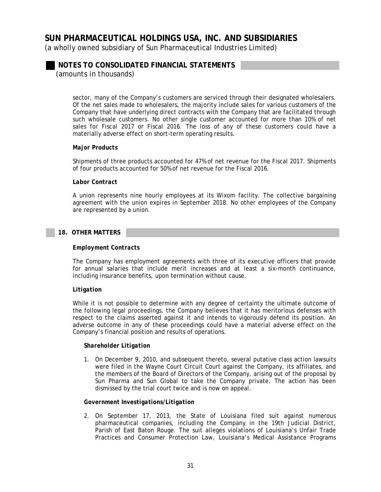(a wholly owned subsidiary of Sun Pharmaceutical Industries Limited)

**NOTES TO CONSOLIDATED FINANCIAL STATEMENTS** 

*(amounts in thousands)* 

sector, many of the Company's customers are serviced through their designated wholesalers. Of the net sales made to wholesalers, the majority include sales for various customers of the Company that have underlying direct contracts with the Company that are facilitated through such wholesale customers. No other single customer accounted for more than 10% of net sales for Fiscal 2017 or Fiscal 2016. The loss of any of these customers could have a materially adverse effect on short-term operating results.

### *Major Products*

Shipments of three products accounted for 47% of net revenue for the Fiscal 2017. Shipments of four products accounted for 50% of net revenue for the Fiscal 2016.

#### *Labor Contract*

A union represents nine hourly employees at its Wixom facility. The collective bargaining agreement with the union expires in September 2018. No other employees of the Company are represented by a union.

### **18. OTHER MATTERS**

#### *Employment Contracts*

The Company has employment agreements with three of its executive officers that provide for annual salaries that include merit increases and at least a six-month continuance, including insurance benefits, upon termination without cause.

#### *Litigation*

While it is not possible to determine with any degree of certainty the ultimate outcome of the following legal proceedings, the Company believes that it has meritorious defenses with respect to the claims asserted against it and intends to vigorously defend its position. An adverse outcome in any of these proceedings could have a material adverse effect on the Company's financial position and results of operations.

#### *Shareholder Litigation*

1. On December 9, 2010, and subsequent thereto, several putative class action lawsuits were filed in the Wayne Court Circuit Court against the Company, its affiliates, and the members of the Board of Directors of the Company, arising out of the proposal by Sun Pharma and Sun Global to take the Company private. The action has been dismissed by the trial court twice and is now on appeal.

#### *Government Investigations/Litigation*

2. On September 17, 2013, the State of Louisiana filed suit against numerous pharmaceutical companies, including the Company in the 19th Judicial District, Parish of East Baton Rouge. The suit alleges violations of Louisiana's Unfair Trade Practices and Consumer Protection Law, Louisiana's Medical Assistance Programs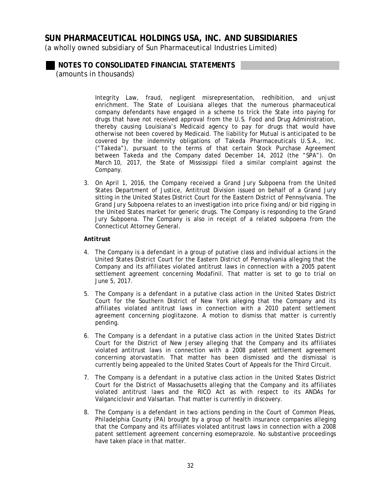(a wholly owned subsidiary of Sun Pharmaceutical Industries Limited)

**NOTES TO CONSOLIDATED FINANCIAL STATEMENTS** 

*(amounts in thousands)* 

Integrity Law, fraud, negligent misrepresentation, redhibition, and unjust enrichment. The State of Louisiana alleges that the numerous pharmaceutical company defendants have engaged in a scheme to trick the State into paying for drugs that have not received approval from the U.S. Food and Drug Administration, thereby causing Louisiana's Medicaid agency to pay for drugs that would have otherwise not been covered by Medicaid. The liability for Mutual is anticipated to be covered by the indemnity obligations of Takeda Pharmaceuticals U.S.A., Inc. ("Takeda"), pursuant to the terms of that certain Stock Purchase Agreement between Takeda and the Company dated December 14, 2012 (the "SPA"). On March 10, 2017, the State of Mississippi filed a similar complaint against the Company.

3. On April 1, 2016, the Company received a Grand Jury Subpoena from the United States Department of Justice, Antitrust Division issued on behalf of a Grand Jury sitting in the United States District Court for the Eastern District of Pennsylvania. The Grand Jury Subpoena relates to an investigation into price fixing and/or bid rigging in the United States market for generic drugs. The Company is responding to the Grand Jury Subpoena. The Company is also in receipt of a related subpoena from the Connecticut Attorney General.

### *Antitrust*

- 4. The Company is a defendant in a group of putative class and individual actions in the United States District Court for the Eastern District of Pennsylvania alleging that the Company and its affiliates violated antitrust laws in connection with a 2005 patent settlement agreement concerning Modafinil. That matter is set to go to trial on June 5, 2017.
- 5. The Company is a defendant in a putative class action in the United States District Court for the Southern District of New York alleging that the Company and its affiliates violated antitrust laws in connection with a 2010 patent settlement agreement concerning pioglitazone. A motion to dismiss that matter is currently pending.
- 6. The Company is a defendant in a putative class action in the United States District Court for the District of New Jersey alleging that the Company and its affiliates violated antitrust laws in connection with a 2008 patent settlement agreement concerning atorvastatin. That matter has been dismissed and the dismissal is currently being appealed to the United States Court of Appeals for the Third Circuit.
- 7. The Company is a defendant in a putative class action in the United States District Court for the District of Massachusetts alleging that the Company and its affiliates violated antitrust laws and the RICO Act as with respect to its ANDAs for Valganciclovir and Valsartan. That matter is currently in discovery.
- 8. The Company is a defendant in two actions pending in the Court of Common Pleas, Philadelphia County (PA) brought by a group of health insurance companies alleging that the Company and its affiliates violated antitrust laws in connection with a 2008 patent settlement agreement concerning esomeprazole. No substantive proceedings have taken place in that matter.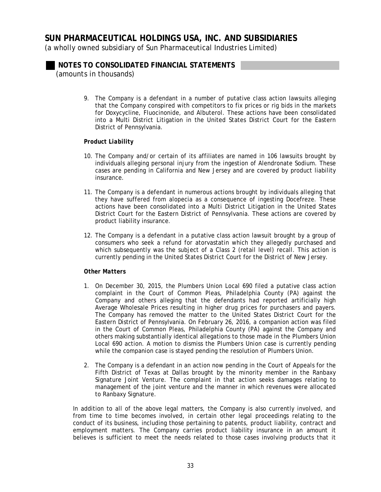(a wholly owned subsidiary of Sun Pharmaceutical Industries Limited)

**NOTES TO CONSOLIDATED FINANCIAL STATEMENTS** 

*(amounts in thousands)* 

9. The Company is a defendant in a number of putative class action lawsuits alleging that the Company conspired with competitors to fix prices or rig bids in the markets for Doxycycline, Fluocinonide, and Albuterol. These actions have been consolidated into a Multi District Litigation in the United States District Court for the Eastern District of Pennsylvania.

### *Product Liability*

- 10. The Company and/or certain of its affiliates are named in 106 lawsuits brought by individuals alleging personal injury from the ingestion of Alendronate Sodium. These cases are pending in California and New Jersey and are covered by product liability insurance.
- 11. The Company is a defendant in numerous actions brought by individuals alleging that they have suffered from alopecia as a consequence of ingesting Docefreze. These actions have been consolidated into a Multi District Litigation in the United States District Court for the Eastern District of Pennsylvania. These actions are covered by product liability insurance.
- 12. The Company is a defendant in a putative class action lawsuit brought by a group of consumers who seek a refund for atorvastatin which they allegedly purchased and which subsequently was the subject of a Class 2 (retail level) recall. This action is currently pending in the United States District Court for the District of New Jersey.

### *Other Matters*

- 1. On December 30, 2015, the Plumbers Union Local 690 filed a putative class action complaint in the Court of Common Pleas, Philadelphia County (PA) against the Company and others alleging that the defendants had reported artificially high Average Wholesale Prices resulting in higher drug prices for purchasers and payers. The Company has removed the matter to the United States District Court for the Eastern District of Pennsylvania. On February 26, 2016, a companion action was filed in the Court of Common Pleas, Philadelphia County (PA) against the Company and others making substantially identical allegations to those made in the Plumbers Union Local 690 action. A motion to dismiss the *Plumbers Union* case is currently pending while the companion case is stayed pending the resolution of *Plumbers Union*.
- 2. The Company is a defendant in an action now pending in the Court of Appeals for the Fifth District of Texas at Dallas brought by the minority member in the Ranbaxy Signature Joint Venture. The complaint in that action seeks damages relating to management of the joint venture and the manner in which revenues were allocated to Ranbaxy Signature.

In addition to all of the above legal matters, the Company is also currently involved, and from time to time becomes involved, in certain other legal proceedings relating to the conduct of its business, including those pertaining to patents, product liability, contract and employment matters. The Company carries product liability insurance in an amount it believes is sufficient to meet the needs related to those cases involving products that it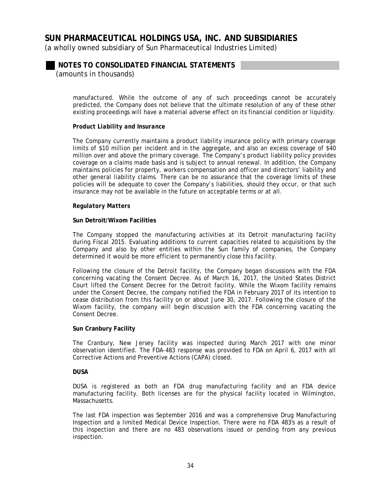(a wholly owned subsidiary of Sun Pharmaceutical Industries Limited)

### **NOTES TO CONSOLIDATED FINANCIAL STATEMENTS**

*(amounts in thousands)* 

manufactured. While the outcome of any of such proceedings cannot be accurately predicted, the Company does not believe that the ultimate resolution of any of these other existing proceedings will have a material adverse effect on its financial condition or liquidity.

### *Product Liability and Insurance*

The Company currently maintains a product liability insurance policy with primary coverage limits of \$10 million per incident and in the aggregate, and also an excess coverage of \$40 million over and above the primary coverage. The Company's product liability policy provides coverage on a claims made basis and is subject to annual renewal. In addition, the Company maintains policies for property, workers compensation and officer and directors' liability and other general liability claims. There can be no assurance that the coverage limits of these policies will be adequate to cover the Company's liabilities, should they occur, or that such insurance may not be available in the future on acceptable terms or at all.

#### *Regulatory Matters*

### **Sun Detroit/Wixom Facilities**

The Company stopped the manufacturing activities at its Detroit manufacturing facility during Fiscal 2015. Evaluating additions to current capacities related to acquisitions by the Company and also by other entities within the Sun family of companies, the Company determined it would be more efficient to permanently close this facility.

Following the closure of the Detroit facility, the Company began discussions with the FDA concerning vacating the Consent Decree. As of March 16, 2017, the United States District Court lifted the Consent Decree for the Detroit facility. While the Wixom facility remains under the Consent Decree, the company notified the FDA in February 2017 of its intention to cease distribution from this facility on or about June 30, 2017. Following the closure of the Wixom facility, the company will begin discussion with the FDA concerning vacating the Consent Decree.

#### **Sun Cranbury Facility**

The Cranbury, New Jersey facility was inspected during March 2017 with one minor observation identified. The FDA-483 response was provided to FDA on April 6, 2017 with all Corrective Actions and Preventive Actions (CAPA) closed.

#### **DUSA**

DUSA is registered as both an FDA drug manufacturing facility and an FDA device manufacturing facility. Both licenses are for the physical facility located in Wilmington, Massachusetts.

The last FDA inspection was September 2016 and was a comprehensive Drug Manufacturing Inspection and a limited Medical Device Inspection. There were no FDA 483's as a result of this inspection and there are no 483 observations issued or pending from any previous inspection.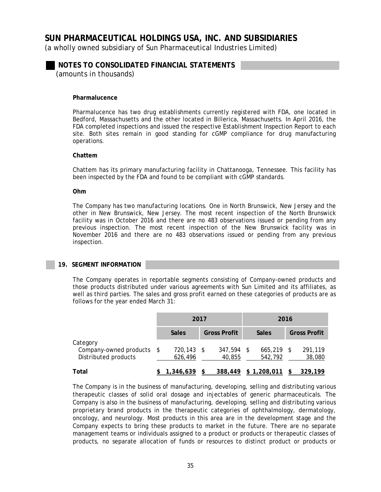(a wholly owned subsidiary of Sun Pharmaceutical Industries Limited)

**NOTES TO CONSOLIDATED FINANCIAL STATEMENTS**  *(amounts in thousands)* 

#### **Pharmalucence**

Pharmalucence has two drug establishments currently registered with FDA, one located in Bedford, Massachusetts and the other located in Billerica, Massachusetts. In April 2016, the FDA completed inspections and issued the respective Establishment Inspection Report to each site. Both sites remain in good standing for cGMP compliance for drug manufacturing operations.

#### **Chattem**

Chattem has its primary manufacturing facility in Chattanooga, Tennessee. This facility has been inspected by the FDA and found to be compliant with cGMP standards.

#### **Ohm**

The Company has two manufacturing locations. One in North Brunswick, New Jersey and the other in New Brunswick, New Jersey. The most recent inspection of the North Brunswick facility was in October 2016 and there are no 483 observations issued or pending from any previous inspection. The most recent inspection of the New Brunswick facility was in November 2016 and there are no 483 observations issued or pending from any previous inspection.

#### **19. SEGMENT INFORMATION**

The Company operates in reportable segments consisting of Company-owned products and those products distributed under various agreements with Sun Limited and its affiliates, as well as third parties. The sales and gross profit earned on these categories of products are as follows for the year ended March 31:

|                                                               | 2017                  |  | 2016                |      |                         |  |                     |
|---------------------------------------------------------------|-----------------------|--|---------------------|------|-------------------------|--|---------------------|
|                                                               | <b>Sales</b>          |  | <b>Gross Profit</b> |      | <b>Sales</b>            |  | <b>Gross Profit</b> |
| Category<br>Company-owned products \$<br>Distributed products | 720,143 \$<br>626,496 |  | 347,594<br>40.855   | - \$ | $665.219$ \$<br>542,792 |  | 291,119<br>38,080   |
| Total                                                         | 1,346,639             |  | 388,449             |      | \$1,208,011             |  | 329,199             |

The Company is in the business of manufacturing, developing, selling and distributing various therapeutic classes of solid oral dosage and injectables of generic pharmaceuticals. The Company is also in the business of manufacturing, developing, selling and distributing various proprietary brand products in the therapeutic categories of ophthalmology, dermatology, oncology, and neurology. Most products in this area are in the development stage and the Company expects to bring these products to market in the future. There are no separate management teams or individuals assigned to a product or products or therapeutic classes of products, no separate allocation of funds or resources to distinct product or products or